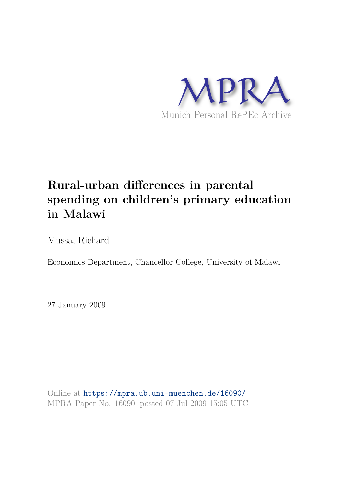

# **Rural-urban differences in parental spending on children's primary education in Malawi**

Mussa, Richard

Economics Department, Chancellor College, University of Malawi

27 January 2009

Online at https://mpra.ub.uni-muenchen.de/16090/ MPRA Paper No. 16090, posted 07 Jul 2009 15:05 UTC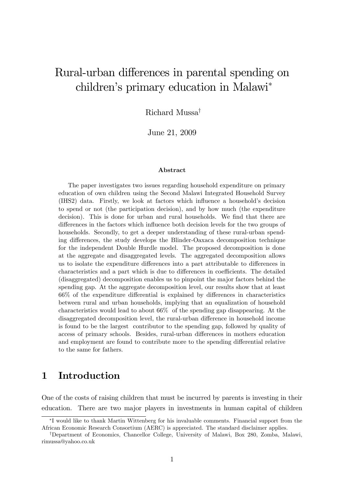# Rural-urban differences in parental spending on children's primary education in Malawi\*

Richard Mussa<sup>†</sup>

June 21, 2009

### Abstract

The paper investigates two issues regarding household expenditure on primary education of own children using the Second Malawi Integrated Household Survey (IHS2) data. Firstly, we look at factors which influence a household's decision to spend or not (the participation decision), and by how much (the expenditure decision). This is done for urban and rural households. We find that there are differences in the factors which influence both decision levels for the two groups of households. Secondly, to get a deeper understanding of these rural-urban spending differences, the study develops the Blinder-Oaxaca decomposition technique for the independent Double Hurdle model. The proposed decomposition is done at the aggregate and disaggregated levels. The aggregated decomposition allows us to isolate the expenditure differences into a part attributable to differences in characteristics and a part which is due to differences in coefficients. The detailed (disaggregated) decomposition enables us to pinpoint the major factors behind the spending gap. At the aggregate decomposition level, our results show that at least  $66\%$  of the expenditure differential is explained by differences in characteristics between rural and urban households, implying that an equalization of household characteristics would lead to about 66% of the spending gap disappearing. At the disaggregated decomposition level, the rural-urban difference in household income is found to be the largest contributor to the spending gap, followed by quality of access of primary schools. Besides, rural-urban differences in mothers education and employment are found to contribute more to the spending differential relative to the same for fathers.

# 1 Introduction

One of the costs of raising children that must be incurred by parents is investing in their education. There are two major players in investments in human capital of children

I would like to thank Martin Wittenberg for his invaluable comments. Financial support from the African Economic Research Consortium (AERC) is appreciated. The standard disclaimer applies.

<sup>&</sup>lt;sup>†</sup>Department of Economics, Chancellor College, University of Malawi, Box 280, Zomba, Malawi, rimussa@yahoo.co.uk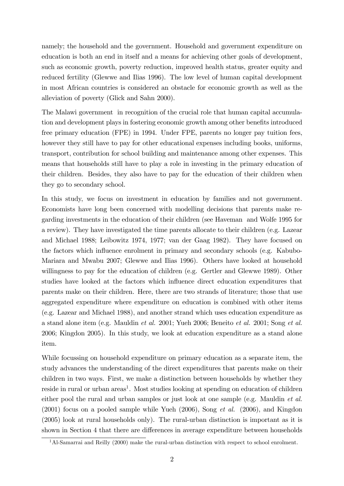namely; the household and the government. Household and government expenditure on education is both an end in itself and a means for achieving other goals of development, such as economic growth, poverty reduction, improved health status, greater equity and reduced fertility (Glewwe and Ilias 1996). The low level of human capital development in most African countries is considered an obstacle for economic growth as well as the alleviation of poverty (Glick and Sahn 2000).

The Malawi government in recognition of the crucial role that human capital accumulation and development plays in fostering economic growth among other benefits introduced free primary education (FPE) in 1994. Under FPE, parents no longer pay tuition fees, however they still have to pay for other educational expenses including books, uniforms, transport, contribution for school building and maintenance among other expenses. This means that households still have to play a role in investing in the primary education of their children. Besides, they also have to pay for the education of their children when they go to secondary school.

In this study, we focus on investment in education by families and not government. Economists have long been concerned with modelling decisions that parents make regarding investments in the education of their children (see Haveman and Wolfe 1995 for a review). They have investigated the time parents allocate to their children (e.g. Lazear and Michael 1988; Leibowitz 1974, 1977; van der Gaag 1982). They have focused on the factors which influence enrolment in primary and secondary schools (e.g. Kabubo-Mariara and Mwabu 2007; Glewwe and Ilias 1996). Others have looked at household willingness to pay for the education of children (e.g. Gertler and Glewwe 1989). Other studies have looked at the factors which influence direct education expenditures that parents make on their children. Here, there are two strands of literature; those that use aggregated expenditure where expenditure on education is combined with other items (e.g. Lazear and Michael 1988), and another strand which uses education expenditure as a stand alone item (e.g. Mauldin et al. 2001; Yueh 2006; Beneito et al. 2001; Song et al. 2006; Kingdon 2005). In this study, we look at education expenditure as a stand alone item.

While focussing on household expenditure on primary education as a separate item, the study advances the understanding of the direct expenditures that parents make on their children in two ways. First, we make a distinction between households by whether they reside in rural or urban areas<sup>1</sup>. Most studies looking at spending on education of children either pool the rural and urban samples or just look at one sample (e.g. Mauldin *et al.*  $(2001)$  focus on a pooled sample while Yueh  $(2006)$ , Song *et al.*  $(2006)$ , and Kingdon (2005) look at rural households only). The rural-urban distinction is important as it is shown in Section 4 that there are differences in average expenditure between households

<sup>&</sup>lt;sup>1</sup>Al-Samarrai and Reilly (2000) make the rural-urban distinction with respect to school enrolment.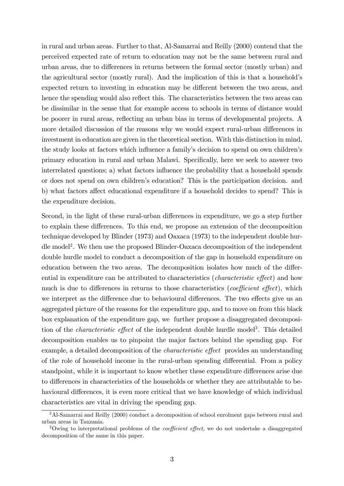in rural and urban areas. Further to that, Al-Samarrai and Reilly (2000) contend that the perceived expected rate of return to education may not be the same between rural and urban areas, due to differences in returns between the formal sector (mostly urban) and the agricultural sector (mostly rural). And the implication of this is that a household's expected return to investing in education may be different between the two areas, and hence the spending would also reflect this. The characteristics between the two areas can be dissimilar in the sense that for example access to schools in terms of distance would be poorer in rural areas, reáecting an urban bias in terms of developmental projects. A more detailed discussion of the reasons why we would expect rural-urban differences in investment in education are given in the theoretical section. With this distinction in mind, the study looks at factors which influence a family's decision to spend on own children's primary education in rural and urban Malawi. Specifically, here we seek to answer two interrelated questions; a) what factors influence the probability that a household spends or does not spend on own childrenís education? This is the participation decision. and b) what factors affect educational expenditure if a household decides to spend? This is the expenditure decision.

Second, in the light of these rural-urban differences in expenditure, we go a step further to explain these differences. To this end, we propose an extension of the decomposition technique developed by Blinder (1973) and Oaxaca (1973) to the independent double hurdle model<sup>2</sup>. We then use the proposed Blinder-Oaxaca decomposition of the independent double hurdle model to conduct a decomposition of the gap in household expenditure on education between the two areas. The decomposition isolates how much of the differential in expenditure can be attributed to characteristics (*characteristic effect*) and how much is due to differences in returns to those characteristics (*coefficient effect*), which we interpret as the difference due to behavioural differences. The two effects give us an aggregated picture of the reasons for the expenditure gap, and to move on from this black box explanation of the expenditure gap, we further propose a disaggregated decomposition of the *characteristic effect* of the independent double hurdle model<sup>3</sup>. This detailed decomposition enables us to pinpoint the major factors behind the spending gap. For example, a detailed decomposition of the *characteristic effect* provides an understanding of the role of household income in the rural-urban spending differential. From a policy standpoint, while it is important to know whether these expenditure differences arise due to differences in characteristics of the households or whether they are attributable to behavioural differences, it is even more critical that we have knowledge of which individual characteristics are vital in driving the spending gap.

<sup>&</sup>lt;sup>2</sup>Al-Samarrai and Reilly (2000) conduct a decomposition of school enrolment gaps between rural and urban areas in Tanzania.

<sup>&</sup>lt;sup>3</sup>Owing to interpretational problems of the *coefficient effect*, we do not undertake a disaggregated decomposition of the same in this paper.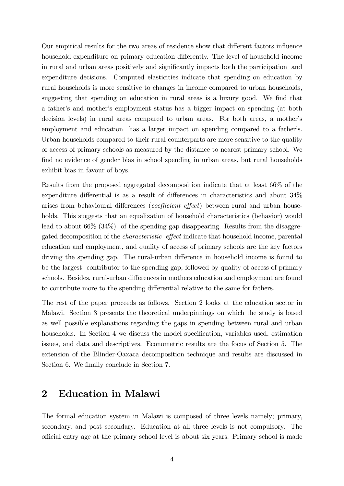Our empirical results for the two areas of residence show that different factors influence household expenditure on primary education differently. The level of household income in rural and urban areas positively and significantly impacts both the participation and expenditure decisions. Computed elasticities indicate that spending on education by rural households is more sensitive to changes in income compared to urban households, suggesting that spending on education in rural areas is a luxury good. We find that a fatherís and motherís employment status has a bigger impact on spending (at both decision levels) in rural areas compared to urban areas. For both areas, a mother's employment and education has a larger impact on spending compared to a father's. Urban households compared to their rural counterparts are more sensitive to the quality of access of primary schools as measured by the distance to nearest primary school. We find no evidence of gender bias in school spending in urban areas, but rural households exhibit bias in favour of boys.

Results from the proposed aggregated decomposition indicate that at least 66% of the expenditure differential is as a result of differences in characteristics and about  $34\%$ arises from behavioural differences (*coefficient effect*) between rural and urban households. This suggests that an equalization of household characteristics (behavior) would lead to about 66% (34%) of the spending gap disappearing. Results from the disaggregated decomposition of the *characteristic* effect indicate that household income, parental education and employment, and quality of access of primary schools are the key factors driving the spending gap. The rural-urban difference in household income is found to be the largest contributor to the spending gap, followed by quality of access of primary schools. Besides, rural-urban differences in mothers education and employment are found to contribute more to the spending differential relative to the same for fathers.

The rest of the paper proceeds as follows. Section 2 looks at the education sector in Malawi. Section 3 presents the theoretical underpinnings on which the study is based as well possible explanations regarding the gaps in spending between rural and urban households. In Section 4 we discuss the model specification, variables used, estimation issues, and data and descriptives. Econometric results are the focus of Section 5. The extension of the Blinder-Oaxaca decomposition technique and results are discussed in Section 6. We finally conclude in Section 7.

# 2 Education in Malawi

The formal education system in Malawi is composed of three levels namely; primary, secondary, and post secondary. Education at all three levels is not compulsory. The o¢cial entry age at the primary school level is about six years. Primary school is made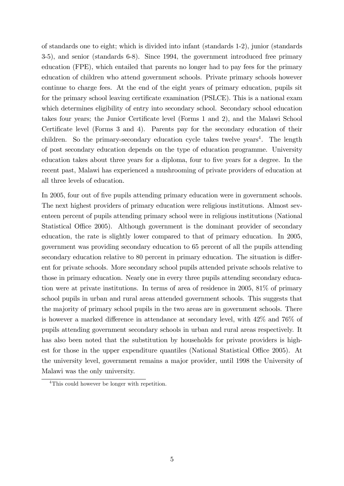of standards one to eight; which is divided into infant (standards 1-2), junior (standards 3-5), and senior (standards 6-8). Since 1994, the government introduced free primary education (FPE), which entailed that parents no longer had to pay fees for the primary education of children who attend government schools. Private primary schools however continue to charge fees. At the end of the eight years of primary education, pupils sit for the primary school leaving certificate examination (PSLCE). This is a national exam which determines eligibility of entry into secondary school. Secondary school education takes four years; the Junior Certificate level (Forms 1 and 2), and the Malawi School Certificate level (Forms 3 and 4). Parents pay for the secondary education of their children. So the primary-secondary education cycle takes twelve years<sup>4</sup>. The length of post secondary education depends on the type of education programme. University education takes about three years for a diploma, four to five years for a degree. In the recent past, Malawi has experienced a mushrooming of private providers of education at all three levels of education.

In 2005, four out of five pupils attending primary education were in government schools. The next highest providers of primary education were religious institutions. Almost seventeen percent of pupils attending primary school were in religious institutions (National Statistical Office 2005). Although government is the dominant provider of secondary education, the rate is slightly lower compared to that of primary education. In 2005, government was providing secondary education to 65 percent of all the pupils attending secondary education relative to 80 percent in primary education. The situation is different for private schools. More secondary school pupils attended private schools relative to those in primary education. Nearly one in every three pupils attending secondary education were at private institutions. In terms of area of residence in 2005, 81% of primary school pupils in urban and rural areas attended government schools. This suggests that the majority of primary school pupils in the two areas are in government schools. There is however a marked difference in attendance at secondary level, with  $42\%$  and  $76\%$  of pupils attending government secondary schools in urban and rural areas respectively. It has also been noted that the substitution by households for private providers is highest for those in the upper expenditure quantiles (National Statistical Office 2005). At the university level, government remains a major provider, until 1998 the University of Malawi was the only university.

<sup>&</sup>lt;sup>4</sup>This could however be longer with repetition.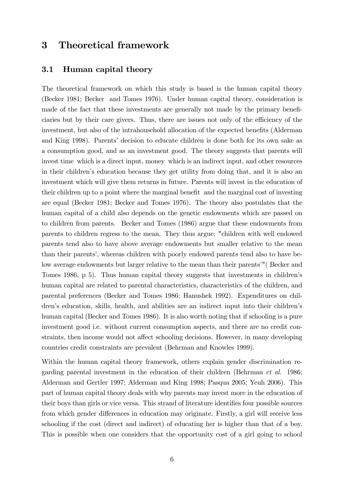# 3 Theoretical framework

## 3.1 Human capital theory

The theoretical framework on which this study is based is the human capital theory (Becker 1981; Becker and Tomes 1976). Under human capital theory, consideration is made of the fact that these investments are generally not made by the primary beneficiaries but by their care givers. Thus, there are issues not only of the efficiency of the investment, but also of the intrahousehold allocation of the expected benefits (Alderman and King 1998). Parents' decision to educate children is done both for its own sake as a consumption good, and as an investment good. The theory suggests that parents will invest time which is a direct input, money which is an indirect input, and other resources in their childrenís education because they get utility from doing that, and it is also an investment which will give them returns in future. Parents will invest in the education of their children up to a point where the marginal benefit and the marginal cost of investing are equal (Becker 1981; Becker and Tomes 1976). The theory also postulates that the human capital of a child also depends on the genetic endowments which are passed on to children from parents. Becker and Tomes (1986) argue that these endowments from parents to children regress to the mean. They thus argue; "children with well endowed parents tend also to have above average endowments but smaller relative to the mean than their parents', whereas children with poorly endowed parents tend also to have below average endowments but larger relative to the mean than their parents'"(Becker and Tomes 1986, p 5). Thus human capital theory suggests that investments in children's human capital are related to parental characteristics, characteristics of the children, and parental preferences (Becker and Tomes 1986; Hanushek 1992). Expenditures on children's education, skills, health, and abilities are an indirect input into their children's human capital (Becker and Tomes 1986). It is also worth noting that if schooling is a pure investment good i.e. without current consumption aspects, and there are no credit constraints, then income would not affect schooling decisions. However, in many developing countries credit constraints are prevalent (Behrman and Knowles 1999).

Within the human capital theory framework, others explain gender discrimination regarding parental investment in the education of their children (Behrman et al. 1986; Alderman and Gertler 1997; Alderman and King 1998; Pasqua 2005; Yeuh 2006). This part of human capital theory deals with why parents may invest more in the education of their boys than girls or vice versa. This strand of literature identifies four possible sources from which gender differences in education may originate. Firstly, a girl will receive less schooling if the cost (direct and indirect) of educating her is higher than that of a boy. This is possible when one considers that the opportunity cost of a girl going to school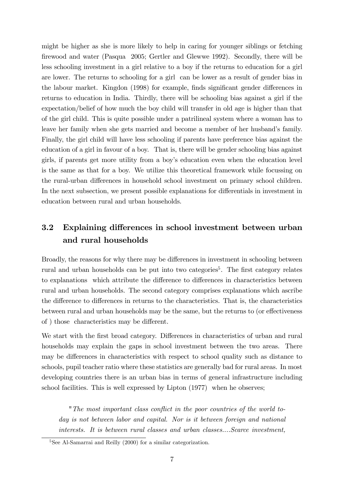might be higher as she is more likely to help in caring for younger siblings or fetching Örewood and water (Pasqua 2005; Gertler and Glewwe 1992). Secondly, there will be less schooling investment in a girl relative to a boy if the returns to education for a girl are lower. The returns to schooling for a girl can be lower as a result of gender bias in the labour market. Kingdon (1998) for example, finds significant gender differences in returns to education in India. Thirdly, there will be schooling bias against a girl if the expectation/belief of how much the boy child will transfer in old age is higher than that of the girl child. This is quite possible under a patrilineal system where a woman has to leave her family when she gets married and become a member of her husband's family. Finally, the girl child will have less schooling if parents have preference bias against the education of a girl in favour of a boy. That is, there will be gender schooling bias against girls, if parents get more utility from a boyís education even when the education level is the same as that for a boy. We utilize this theoretical framework while focussing on the rural-urban differences in household school investment on primary school children. In the next subsection, we present possible explanations for differentials in investment in education between rural and urban households.

# 3.2 Explaining differences in school investment between urban and rural households

Broadly, the reasons for why there may be differences in investment in schooling between rural and urban households can be put into two categories<sup>5</sup>. The first category relates to explanations which attribute the difference to differences in characteristics between rural and urban households. The second category comprises explanations which ascribe the difference to differences in returns to the characteristics. That is, the characteristics between rural and urban households may be the same, but the returns to (or effectiveness of) those characteristics may be different.

We start with the first broad category. Differences in characteristics of urban and rural households may explain the gaps in school investment between the two areas. There may be differences in characteristics with respect to school quality such as distance to schools, pupil teacher ratio where these statistics are generally bad for rural areas. In most developing countries there is an urban bias in terms of general infrastructure including school facilities. This is well expressed by Lipton (1977) when he observes;

"The most important class conflict in the poor countries of the world today is not between labor and capital. Nor is it between foreign and national interests. It is between rural classes and urban classes....Scarce investment,

 ${}^{5}$ See Al-Samarrai and Reilly (2000) for a similar categorization.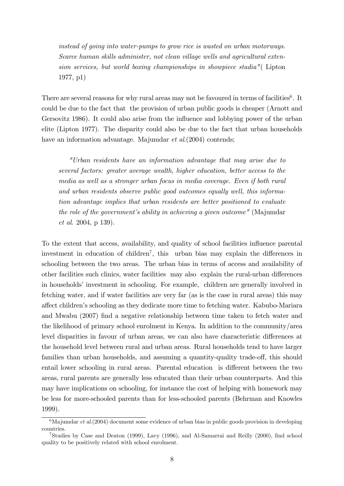instead of going into water-pumps to grow rice is wasted on urban motorways. Scarce human skills administer, not clean village wells and agricultural extension services, but world boxing championships in showpiece stadia"( Lipton 1977, p1)

There are several reasons for why rural areas may not be favoured in terms of facilities<sup>6</sup>. It could be due to the fact that the provision of urban public goods is cheaper (Arnott and Gersovitz 1986). It could also arise from the influence and lobbying power of the urban elite (Lipton 1977). The disparity could also be due to the fact that urban households have an information advantage. Majumdar *et al.*(2004) contends;

"Urban residents have an information advantage that may arise due to several factors: greater average wealth, higher education, better access to the media as well as a stronger urban focus in media coverage. Even if both rural and urban residents observe public good outcomes equally well, this information advantage implies that urban residents are better positioned to evaluate the role of the government's ability in achieving a given outcome" (Majumdar et al. 2004, p 139).

To the extent that access, availability, and quality of school facilities influence parental investment in education of children<sup>7</sup>, this urban bias may explain the differences in schooling between the two areas. The urban bias in terms of access and availability of other facilities such clinics, water facilities may also explain the rural-urban differences in households' investment in schooling. For example, children are generally involved in fetching water, and if water facilities are very far (as is the case in rural areas) this may a§ect childrenís schooling as they dedicate more time to fetching water. Kabubo-Mariara and Mwabu (2007) Önd a negative relationship between time taken to fetch water and the likelihood of primary school enrolment in Kenya. In addition to the community/area level disparities in favour of urban areas, we can also have characteristic differences at the household level between rural and urban areas. Rural households tend to have larger families than urban households, and assuming a quantity-quality trade-off, this should entail lower schooling in rural areas. Parental education is different between the two areas, rural parents are generally less educated than their urban counterparts. And this may have implications on schooling, for instance the cost of helping with homework may be less for more-schooled parents than for less-schooled parents (Behrman and Knowles 1999).

 $6$ Majumdar et al. (2004) document some evidence of urban bias in public goods provision in developing countries.

<sup>&</sup>lt;sup>7</sup>Studies by Case and Deaton (1999), Lavy (1996), and Al-Samarrai and Reilly (2000), find school quality to be positively related with school enrolment.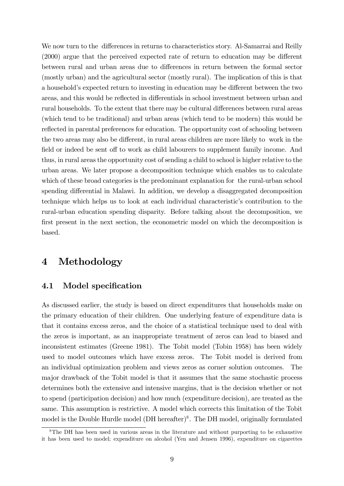We now turn to the differences in returns to characteristics story. Al-Samarrai and Reilly  $(2000)$  argue that the perceived expected rate of return to education may be different between rural and urban areas due to differences in return between the formal sector (mostly urban) and the agricultural sector (mostly rural). The implication of this is that a household's expected return to investing in education may be different between the two areas, and this would be reflected in differentials in school investment between urban and rural households. To the extent that there may be cultural differences between rural areas (which tend to be traditional) and urban areas (which tend to be modern) this would be reflected in parental preferences for education. The opportunity cost of schooling between the two areas may also be different, in rural areas children are more likely to work in the field or indeed be sent off to work as child labourers to supplement family income. And thus, in rural areas the opportunity cost of sending a child to school is higher relative to the urban areas. We later propose a decomposition technique which enables us to calculate which of these broad categories is the predominant explanation for the rural-urban school spending differential in Malawi. In addition, we develop a disaggregated decomposition technique which helps us to look at each individual characteristicís contribution to the rural-urban education spending disparity. Before talking about the decomposition, we first present in the next section, the econometric model on which the decomposition is based.

# 4 Methodology

## 4.1 Model specification

As discussed earlier, the study is based on direct expenditures that households make on the primary education of their children. One underlying feature of expenditure data is that it contains excess zeros, and the choice of a statistical technique used to deal with the zeros is important, as an inappropriate treatment of zeros can lead to biased and inconsistent estimates (Greene 1981). The Tobit model (Tobin 1958) has been widely used to model outcomes which have excess zeros. The Tobit model is derived from an individual optimization problem and views zeros as corner solution outcomes. The major drawback of the Tobit model is that it assumes that the same stochastic process determines both the extensive and intensive margins, that is the decision whether or not to spend (participation decision) and how much (expenditure decision), are treated as the same. This assumption is restrictive. A model which corrects this limitation of the Tobit model is the Double Hurdle model (DH hereafter)<sup>8</sup>. The DH model, originally formulated

<sup>&</sup>lt;sup>8</sup>The DH has been used in various areas in the literature and without purporting to be exhaustive it has been used to model; expenditure on alcohol (Yen and Jensen 1996), expenditure on cigarettes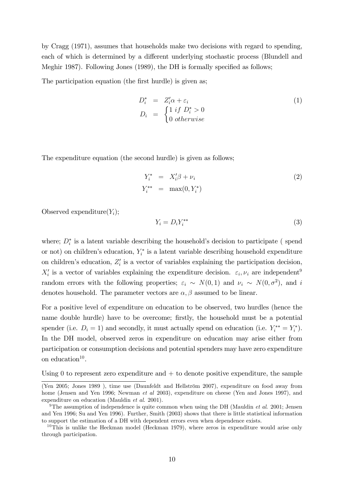by Cragg (1971), assumes that households make two decisions with regard to spending, each of which is determined by a different underlying stochastic process (Blundell and Meghir 1987). Following Jones  $(1989)$ , the DH is formally specified as follows;

The participation equation (the first hurdle) is given as;

$$
D_i^* = Z_i' \alpha + \varepsilon_i
$$
  
\n
$$
D_i = \begin{cases} 1 & \text{if } D_i^* > 0 \\ 0 & \text{otherwise} \end{cases}
$$
\n(1)

The expenditure equation (the second hurdle) is given as follows;

$$
Y_i^* = X_i'\beta + \nu_i
$$
  
\n
$$
Y_i^{**} = \max(0, Y_i^*)
$$
\n(2)

Observed expenditure $(Y_i)$ ;

$$
Y_i = D_i Y_i^{**} \tag{3}
$$

where;  $D_i^*$  is a latent variable describing the household's decision to participate (spend or not) on children's education,  $Y_i^*$  $\zeta_i^*$  is a latent variable describing household expenditure on children's education,  $Z_i'$  $i<sub>i</sub>$  is a vector of variables explaining the participation decision,  $X_i'$  is a vector of variables explaining the expenditure decision.  $\varepsilon_i, \nu_i$  are independent<sup>9</sup> random errors with the following properties;  $\varepsilon_i \sim N(0, 1)$  and  $\nu_i \sim N(0, \sigma^2)$ , and i denotes household. The parameter vectors are  $\alpha, \beta$  assumed to be linear.

For a positive level of expenditure on education to be observed, two hurdles (hence the name double hurdle) have to be overcome; firstly, the household must be a potential spender (i.e.  $D_i = 1$ ) and secondly, it must actually spend on education (i.e.  $Y_i^{**} = Y_i^*$  $\binom{r}{i}$ . In the DH model, observed zeros in expenditure on education may arise either from participation or consumption decisions and potential spenders may have zero expenditure on education $10$ .

Using 0 to represent zero expenditure and  $+$  to denote positive expenditure, the sample

<sup>(</sup>Yen 2005; Jones 1989), time use (Daunfeldt and Hellström 2007), expenditure on food away from home (Jensen and Yen 1996; Newman *et al* 2003), expenditure on cheese (Yen and Jones 1997), and expenditure on education (Mauldin et al. 2001).

<sup>&</sup>lt;sup>9</sup>The assumption of independence is quite common when using the DH (Mauldin *et al.* 2001; Jensen and Yen 1996; Su and Yen 1996). Further, Smith (2003) shows that there is little statistical information to support the estimation of a DH with dependent errors even when dependence exists.

 $10$ This is unlike the Heckman model (Heckman 1979), where zeros in expenditure would arise only through participation.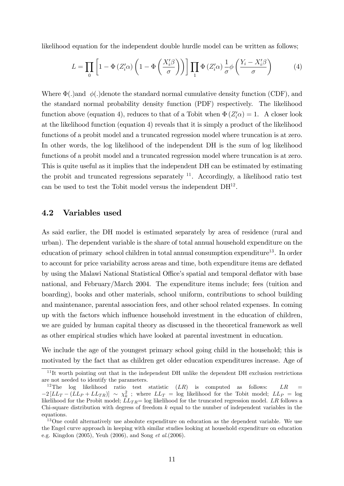likelihood equation for the independent double hurdle model can be written as follows;

$$
L = \prod_{0} \left[ 1 - \Phi \left( Z_i' \alpha \right) \left( 1 - \Phi \left( \frac{X_i' \beta}{\sigma} \right) \right) \right] \prod_{1} \Phi \left( Z_i' \alpha \right) \frac{1}{\sigma} \phi \left( \frac{Y_i - X_i' \beta}{\sigma} \right) \tag{4}
$$

Where  $\Phi(.)$  and  $\phi(.)$  denote the standard normal cumulative density function (CDF), and the standard normal probability density function (PDF) respectively. The likelihood function above (equation 4), reduces to that of a Tobit when  $\Phi(Z_i' \alpha) = 1$ . A closer look at the likelihood function (equation 4) reveals that it is simply a product of the likelihood functions of a probit model and a truncated regression model where truncation is at zero. In other words, the log likelihood of the independent DH is the sum of log likelihood functions of a probit model and a truncated regression model where truncation is at zero. This is quite useful as it implies that the independent DH can be estimated by estimating the probit and truncated regressions separately  $11$ . Accordingly, a likelihood ratio test can be used to test the Tobit model versus the independent  $DH^{12}$ .

### 4.2 Variables used

As said earlier, the DH model is estimated separately by area of residence (rural and urban). The dependent variable is the share of total annual household expenditure on the education of primary school children in total annual consumption expenditure<sup>13</sup>. In order to account for price variability across areas and time, both expenditure items are deflated by using the Malawi National Statistical Office's spatial and temporal deflator with base national, and February/March 2004. The expenditure items include; fees (tuition and boarding), books and other materials, school uniform, contributions to school building and maintenance, parental association fees, and other school related expenses. In coming up with the factors which ináuence household investment in the education of children, we are guided by human capital theory as discussed in the theoretical framework as well as other empirical studies which have looked at parental investment in education.

We include the age of the youngest primary school going child in the household; this is motivated by the fact that as children get older education expenditures increase. Age of

<sup>&</sup>lt;sup>11</sup>It worth pointing out that in the independent DH unlike the dependent DH exclusion restrictions are not needed to identify the parameters.

<sup>&</sup>lt;sup>12</sup>The log likelihood ratio test statistic  $(LR)$  is computed as follows: LR  $-2[LL_T - (LL_P + LL_{TR})] \sim \chi^2_k$ ; where  $LL_T = \log$  likelihood for the Tobit model;  $LL_P = \log$ likelihood for the Probit model;  $LL_{TR}$ = log likelihood for the truncated regression model. LR follows a Chi-square distribution with degress of freedom  $k$  equal to the number of independent variables in the equations.

<sup>&</sup>lt;sup>13</sup>One could alternatively use absolute expenditure on education as the dependent variable. We use the Engel curve approach in keeping with similar studies looking at household expenditure on education e.g. Kingdon (2005), Yeuh (2006), and Song et al.(2006).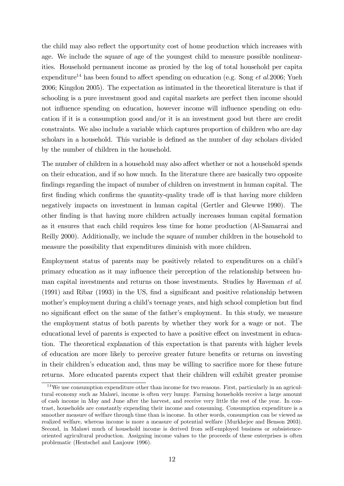the child may also reflect the opportunity cost of home production which increases with age. We include the square of age of the youngest child to measure possible nonlinearities. Household permanent income as proxied by the log of total household per capita expenditure<sup>14</sup> has been found to affect spending on education (e.g. Song *et al.*2006; Yueh 2006; Kingdon 2005). The expectation as intimated in the theoretical literature is that if schooling is a pure investment good and capital markets are perfect then income should not influence spending on education, however income will influence spending on education if it is a consumption good and/or it is an investment good but there are credit constraints. We also include a variable which captures proportion of children who are day scholars in a household. This variable is defined as the number of day scholars divided by the number of children in the household.

The number of children in a household may also affect whether or not a household spends on their education, and if so how much. In the literature there are basically two opposite findings regarding the impact of number of children on investment in human capital. The first finding which confirms the quantity-quality trade off is that having more children negatively impacts on investment in human capital (Gertler and Glewwe 1990). The other Önding is that having more children actually increases human capital formation as it ensures that each child requires less time for home production (Al-Samarrai and Reilly 2000). Additionally, we include the square of number children in the household to measure the possibility that expenditures diminish with more children.

Employment status of parents may be positively related to expenditures on a child's primary education as it may ináuence their perception of the relationship between human capital investments and returns on those investments. Studies by Haveman et al.  $(1991)$  and Ribar  $(1993)$  in the US, find a significant and positive relationship between mother's employment during a child's teenage years, and high school completion but find no significant effect on the same of the father's employment. In this study, we measure the employment status of both parents by whether they work for a wage or not. The educational level of parents is expected to have a positive effect on investment in education. The theoretical explanation of this expectation is that parents with higher levels of education are more likely to perceive greater future benefits or returns on investing in their children's education and, thus may be willing to sacrifice more for these future returns. More educated parents expect that their children will exhibit greater promise

<sup>14</sup>We use consumption expenditure other than income for two reasons. First, particularly in an agricultural economy such as Malawi, income is often very lumpy. Farming households receive a large amount of cash income in May and June after the harvest, and receive very little the rest of the year. In contrast, households are constantly expending their income and consuming. Consumption expenditure is a smoother measure of welfare through time than is income. In other words, consumption can be viewed as realized welfare, whereas income is more a measure of potential welfare (Murkhejee and Benson 2003). Second, in Malawi much of household income is derived from self-employed business or subsistenceoriented agricultural production. Assigning income values to the proceeds of these enterprises is often problematic (Hentschel and Lanjouw 1996).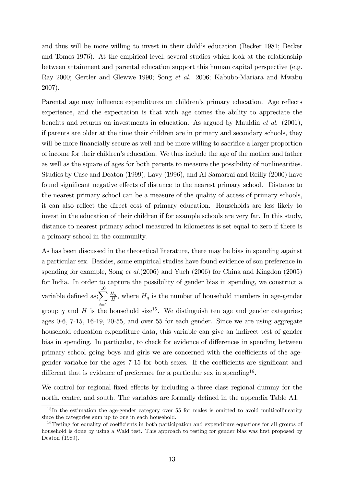and thus will be more willing to invest in their child's education (Becker 1981; Becker and Tomes 1976). At the empirical level, several studies which look at the relationship between attainment and parental education support this human capital perspective (e.g. Ray 2000; Gertler and Glewwe 1990; Song et al. 2006; Kabubo-Mariara and Mwabu 2007).

Parental age may influence expenditures on children's primary education. Age reflects experience, and the expectation is that with age comes the ability to appreciate the benefits and returns on investments in education. As argued by Mauldin  $et \ al.$  (2001), if parents are older at the time their children are in primary and secondary schools, they will be more financially secure as well and be more willing to sacrifice a larger proportion of income for their childrenís education. We thus include the age of the mother and father as well as the square of ages for both parents to measure the possibility of nonlinearities. Studies by Case and Deaton (1999), Lavy (1996), and Al-Samarrai and Reilly (2000) have found significant negative effects of distance to the nearest primary school. Distance to the nearest primary school can be a measure of the quality of access of primary schools, it can also reflect the direct cost of primary education. Households are less likely to invest in the education of their children if for example schools are very far. In this study, distance to nearest primary school measured in kilometres is set equal to zero if there is a primary school in the community.

As has been discussed in the theoretical literature, there may be bias in spending against a particular sex. Besides, some empirical studies have found evidence of son preference in spending for example, Song et al.(2006) and Yueh (2006) for China and Kingdon (2005) for India. In order to capture the possibility of gender bias in spending, we construct a variable defined as;  $\sum_{n=1}^{\infty}$  $i=1$  $H_g$  $\frac{H_g}{H}$ , where  $H_g$  is the number of household members in age-gender group q and H is the household size<sup>15</sup>. We distinguish ten age and gender categories; ages 0-6, 7-15, 16-19, 20-55, and over 55 for each gender. Since we are using aggregate household education expenditure data, this variable can give an indirect test of gender bias in spending. In particular, to check for evidence of differences in spending between primary school going boys and girls we are concerned with the coefficients of the agegender variable for the ages  $7-15$  for both sexes. If the coefficients are significant and different that is evidence of preference for a particular sex in spending<sup>16</sup>.

We control for regional fixed effects by including a three class regional dummy for the north, centre, and south. The variables are formally defined in the appendix Table A1.

<sup>&</sup>lt;sup>15</sup>In the estimation the age-gender category over 55 for males is omitted to avoid multicollinearity since the categories sum up to one in each household.

<sup>&</sup>lt;sup>16</sup>Testing for equality of coefficients in both participation and expenditure equations for all groups of household is done by using a Wald test. This approach to testing for gender bias was first proposed by Deaton (1989).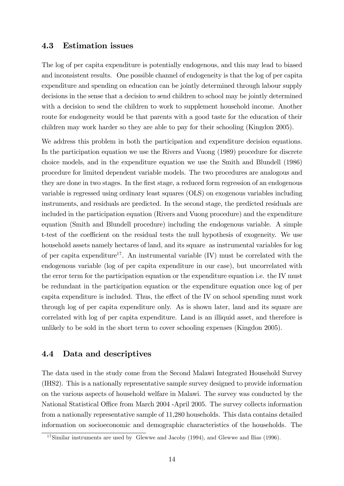### 4.3 Estimation issues

The log of per capita expenditure is potentially endogenous, and this may lead to biased and inconsistent results. One possible channel of endogeneity is that the log of per capita expenditure and spending on education can be jointly determined through labour supply decisions in the sense that a decision to send children to school may be jointly determined with a decision to send the children to work to supplement household income. Another route for endogeneity would be that parents with a good taste for the education of their children may work harder so they are able to pay for their schooling (Kingdon 2005).

We address this problem in both the participation and expenditure decision equations. In the participation equation we use the Rivers and Vuong (1989) procedure for discrete choice models, and in the expenditure equation we use the Smith and Blundell (1986) procedure for limited dependent variable models. The two procedures are analogous and they are done in two stages. In the first stage, a reduced form regression of an endogenous variable is regressed using ordinary least squares (OLS) on exogenous variables including instruments, and residuals are predicted. In the second stage, the predicted residuals are included in the participation equation (Rivers and Vuong procedure) and the expenditure equation (Smith and Blundell procedure) including the endogenous variable. A simple t-test of the coefficient on the residual tests the null hypothesis of exogeneity. We use household assets namely hectares of land, and its square as instrumental variables for log of per capita expenditure<sup>17</sup>. An instrumental variable  $(IV)$  must be correlated with the endogenous variable (log of per capita expenditure in our case), but uncorrelated with the error term for the participation equation or the expenditure equation i.e. the IV must be redundant in the participation equation or the expenditure equation once log of per capita expenditure is included. Thus, the effect of the IV on school spending must work through log of per capita expenditure only. As is shown later, land and its square are correlated with log of per capita expenditure. Land is an illiquid asset, and therefore is unlikely to be sold in the short term to cover schooling expenses (Kingdon 2005).

## 4.4 Data and descriptives

The data used in the study come from the Second Malawi Integrated Household Survey (IHS2). This is a nationally representative sample survey designed to provide information on the various aspects of household welfare in Malawi. The survey was conducted by the National Statistical Office from March 2004 -April 2005. The survey collects information from a nationally representative sample of 11,280 households. This data contains detailed information on socioeconomic and demographic characteristics of the households. The

 $17$ Similar instruments are used by Glewwe and Jacoby (1994), and Glewwe and Ilias (1996).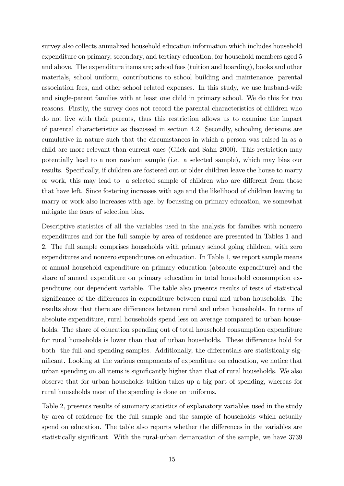survey also collects annualized household education information which includes household expenditure on primary, secondary, and tertiary education, for household members aged 5 and above. The expenditure items are; school fees (tuition and boarding), books and other materials, school uniform, contributions to school building and maintenance, parental association fees, and other school related expenses. In this study, we use husband-wife and single-parent families with at least one child in primary school. We do this for two reasons. Firstly, the survey does not record the parental characteristics of children who do not live with their parents, thus this restriction allows us to examine the impact of parental characteristics as discussed in section 4.2. Secondly, schooling decisions are cumulative in nature such that the circumstances in which a person was raised in as a child are more relevant than current ones (Glick and Sahn 2000). This restriction may potentially lead to a non random sample (i.e. a selected sample), which may bias our results. Specifically, if children are fostered out or older children leave the house to marry or work, this may lead to a selected sample of children who are different from those that have left. Since fostering increases with age and the likelihood of children leaving to marry or work also increases with age, by focussing on primary education, we somewhat mitigate the fears of selection bias.

Descriptive statistics of all the variables used in the analysis for families with nonzero expenditures and for the full sample by area of residence are presented in Tables 1 and 2. The full sample comprises households with primary school going children, with zero expenditures and nonzero expenditures on education. In Table 1, we report sample means of annual household expenditure on primary education (absolute expenditure) and the share of annual expenditure on primary education in total household consumption expenditure; our dependent variable. The table also presents results of tests of statistical significance of the differences in expenditure between rural and urban households. The results show that there are differences between rural and urban households. In terms of absolute expenditure, rural households spend less on average compared to urban households. The share of education spending out of total household consumption expenditure for rural households is lower than that of urban households. These differences hold for both the full and spending samples. Additionally, the differentials are statistically significant. Looking at the various components of expenditure on education, we notice that urban spending on all items is significantly higher than that of rural households. We also observe that for urban households tuition takes up a big part of spending, whereas for rural households most of the spending is done on uniforms.

Table 2, presents results of summary statistics of explanatory variables used in the study by area of residence for the full sample and the sample of households which actually spend on education. The table also reports whether the differences in the variables are statistically significant. With the rural-urban demarcation of the sample, we have 3739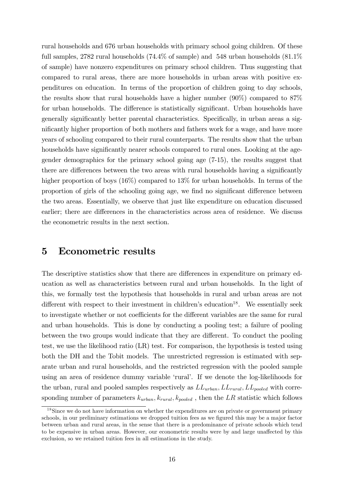rural households and 676 urban households with primary school going children. Of these full samples, 2782 rural households (74.4% of sample) and 548 urban households (81.1%) of sample) have nonzero expenditures on primary school children. Thus suggesting that compared to rural areas, there are more households in urban areas with positive expenditures on education. In terms of the proportion of children going to day schools, the results show that rural households have a higher number (90%) compared to 87% for urban households. The difference is statistically significant. Urban households have generally significantly better parental characteristics. Specifically, in urban areas a significantly higher proportion of both mothers and fathers work for a wage, and have more years of schooling compared to their rural counterparts. The results show that the urban households have significantly nearer schools compared to rural ones. Looking at the agegender demographics for the primary school going age (7-15), the results suggest that there are differences between the two areas with rural households having a significantly higher proportion of boys  $(16\%)$  compared to 13% for urban households. In terms of the proportion of girls of the schooling going age, we find no significant difference between the two areas. Essentially, we observe that just like expenditure on education discussed earlier; there are differences in the characteristics across area of residence. We discuss the econometric results in the next section.

## 5 Econometric results

The descriptive statistics show that there are differences in expenditure on primary education as well as characteristics between rural and urban households. In the light of this, we formally test the hypothesis that households in rural and urban areas are not different with respect to their investment in children's education<sup>18</sup>. We essentially seek to investigate whether or not coefficients for the different variables are the same for rural and urban households. This is done by conducting a pooling test; a failure of pooling between the two groups would indicate that they are different. To conduct the pooling test, we use the likelihood ratio (LR) test. For comparison, the hypothesis is tested using both the DH and the Tobit models. The unrestricted regression is estimated with separate urban and rural households, and the restricted regression with the pooled sample using an area of residence dummy variable 'rural'. If we denote the log-likelihoods for the urban, rural and pooled samples respectively as  $LL_{urban}$ ,  $LL_{rural}$ ,  $LL_{pooled}$  with corresponding number of parameters  $k_{urban}$ ,  $k_{rural}$ ,  $k_{pooled}$ , then the LR statistic which follows

<sup>&</sup>lt;sup>18</sup>Since we do not have information on whether the expenditures are on private or government primary schools, in our preliminary estimations we dropped tuition fees as we figured this may be a major factor between urban and rural areas, in the sense that there is a predominance of private schools which tend to be expensive in urban areas. However, our econometric results were by and large unaffected by this exclusion, so we retained tuition fees in all estimations in the study.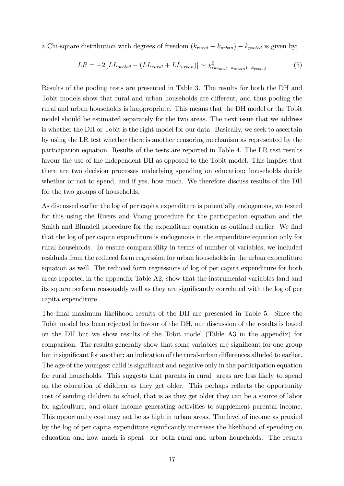a Chi-square distribution with degrees of freedom  $(k_{rural} + k_{urban}) - k_{pooled}$  is given by;

$$
LR = -2\left[LL_{pooled} - \left(LL_{rural} + LL_{urban}\right)\right] \sim \chi^2_{(k_{rural} + k_{urban}) - k_{pooled}} \tag{5}
$$

Results of the pooling tests are presented in Table 3. The results for both the DH and Tobit models show that rural and urban households are different, and thus pooling the rural and urban households is inappropriate. This means that the DH model or the Tobit model should be estimated separately for the two areas. The next issue that we address is whether the DH or Tobit is the right model for our data. Basically, we seek to ascertain by using the LR test whether there is another censoring mechanism as represented by the participation equation. Results of the tests are reported in Table 4. The LR test results favour the use of the independent DH as opposed to the Tobit model. This implies that there are two decision processes underlying spending on education; households decide whether or not to spend, and if yes, how much. We therefore discuss results of the DH for the two groups of households.

As discussed earlier the log of per capita expenditure is potentially endogenous, we tested for this using the Rivers and Vuong procedure for the participation equation and the Smith and Blundell procedure for the expenditure equation as outlined earlier. We find that the log of per capita expenditure is endogenous in the expenditure equation only for rural households. To ensure comparability in terms of number of variables, we included residuals from the reduced form regression for urban households in the urban expenditure equation as well. The reduced form regressions of log of per capita expenditure for both areas reported in the appendix Table A2, show that the instrumental variables land and its square perform reasonably well as they are significantly correlated with the log of per capita expenditure.

The final maximum likelihood results of the DH are presented in Table 5. Since the Tobit model has been rejected in favour of the DH, our discussion of the results is based on the DH but we show results of the Tobit model (Table A3 in the appendix) for comparison. The results generally show that some variables are significant for one group but insignificant for another; an indication of the rural-urban differences alluded to earlier. The age of the youngest child is significant and negative only in the participation equation for rural households. This suggests that parents in rural areas are less likely to spend on the education of children as they get older. This perhaps reflects the opportunity cost of sending children to school, that is as they get older they can be a source of labor for agriculture, and other income generating activities to supplement parental income. This opportunity cost may not be as high in urban areas. The level of income as proxied by the log of per capita expenditure significantly increases the likelihood of spending on education and how much is spent for both rural and urban households. The results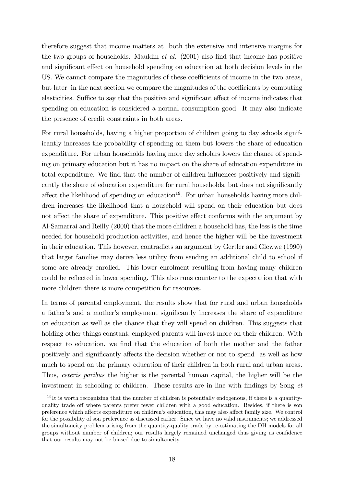therefore suggest that income matters at both the extensive and intensive margins for the two groups of households. Mauldin *et al.*  $(2001)$  also find that income has positive and significant effect on household spending on education at both decision levels in the US. We cannot compare the magnitudes of these coefficients of income in the two areas, but later in the next section we compare the magnitudes of the coefficients by computing elasticities. Suffice to say that the positive and significant effect of income indicates that spending on education is considered a normal consumption good. It may also indicate the presence of credit constraints in both areas.

For rural households, having a higher proportion of children going to day schools significantly increases the probability of spending on them but lowers the share of education expenditure. For urban households having more day scholars lowers the chance of spending on primary education but it has no impact on the share of education expenditure in total expenditure. We find that the number of children influences positively and significantly the share of education expenditure for rural households, but does not significantly affect the likelihood of spending on education<sup>19</sup>. For urban households having more children increases the likelihood that a household will spend on their education but does not affect the share of expenditure. This positive effect conforms with the argument by Al-Samarrai and Reilly (2000) that the more children a household has, the less is the time needed for household production activities, and hence the higher will be the investment in their education. This however, contradicts an argument by Gertler and Glewwe (1990) that larger families may derive less utility from sending an additional child to school if some are already enrolled. This lower enrolment resulting from having many children could be reflected in lower spending. This also runs counter to the expectation that with more children there is more competition for resources.

In terms of parental employment, the results show that for rural and urban households a father's and a mother's employment significantly increases the share of expenditure on education as well as the chance that they will spend on children. This suggests that holding other things constant, employed parents will invest more on their children. With respect to education, we find that the education of both the mother and the father positively and significantly affects the decision whether or not to spend as well as how much to spend on the primary education of their children in both rural and urban areas. Thus, ceteris paribus the higher is the parental human capital, the higher will be the investment in schooling of children. These results are in line with findings by Song  $et$ 

 $19$ It is worth recognizing that the number of children is potentially endogenous, if there is a quantityquality trade off where parents prefer fewer children with a good education. Besides, if there is son preference which affects expenditure on children's education, this may also affect family size. We control for the possibility of son preference as discussed earlier. Since we have no valid instruments; we addressed the simultaneity problem arising from the quantity-quality trade by re-estimating the DH models for all groups without number of children; our results largely remained unchanged thus giving us confidence that our results may not be biased due to simultaneity.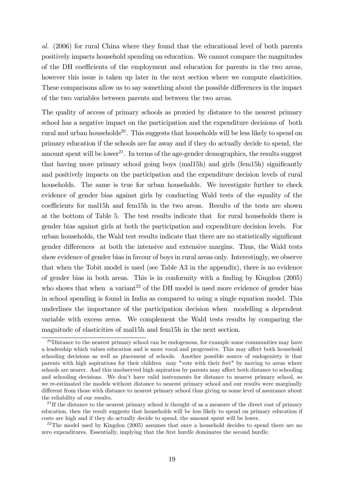al. (2006) for rural China where they found that the educational level of both parents positively impacts household spending on education. We cannot compare the magnitudes of the DH coefficients of the employment and education for parents in the two areas, however this issue is taken up later in the next section where we compute elasticities. These comparisons allow us to say something about the possible differences in the impact of the two variables between parents and between the two areas.

The quality of access of primary schools as proxied by distance to the nearest primary school has a negative impact on the participation and the expenditure decisions of both rural and urban households<sup>20</sup>. This suggests that households will be less likely to spend on primary education if the schools are far away and if they do actually decide to spend, the amount spent will be lower<sup>21</sup>. In terms of the age-gender demographics, the results suggest that having more primary school going boys (mall $5h$ ) and girls (fem1 $5h$ ) significantly and positively impacts on the participation and the expenditure decision levels of rural households. The same is true for urban households. We investigate further to check evidence of gender bias against girls by conducting Wald tests of the equality of the coefficients for mall<sup>5h</sup> and fem<sub>15h</sub> in the two areas. Results of the tests are shown at the bottom of Table 5. The test results indicate that for rural households there is gender bias against girls at both the participation and expenditure decision levels. For urban households, the Wald test results indicate that there are no statistically significant gender differences at both the intensive and extensive margins. Thus, the Wald tests show evidence of gender bias in favour of boys in rural areas only. Interestingly, we observe that when the Tobit model is used (see Table A3 in the appendix), there is no evidence of gender bias in both areas. This is in conformity with a finding by Kingdon (2005) who shows that when a variant<sup>22</sup> of the DH model is used more evidence of gender bias in school spending is found in India as compared to using a single equation model. This underlines the importance of the participation decision when modelling a dependent variable with excess zeros. We complement the Wald tests results by comparing the magnitude of elasticities of mal15h and fem15h in the next section.

 $20$ Distance to the nearest primary school can be endogenous, for example some communities may have a leadership which values education and is more vocal and progressive. This may affect both household schooling decisions as well as placement of schools. Another possible source of endogeniety is that parents with high aspirations for their children may "vote with their feet" by moving to areas where schools are nearer. And this unobserved high aspiration by parents may affect both distance to schooling and schooling decisions. We don't have valid instruments for distance to nearest primary school, so we re-estimated the models without distance to nearest primary school and our results were marginally different from those with distance to nearest primary school thus giving us some level of assurance about the reliability of our results.

 $21$  If the distance to the nearest primary school is thought of as a measure of the direct cost of primary education, then the result suggests that households will be less likely to spend on primary education if costs are high and if they do actually decide to spend, the amount spent will be lower.

<sup>&</sup>lt;sup>22</sup>The model used by Kingdon  $(2005)$  assumes that once a household decides to spend there are no zero expenditures. Essentially, implying that the first hurdle dominates the second hurdle.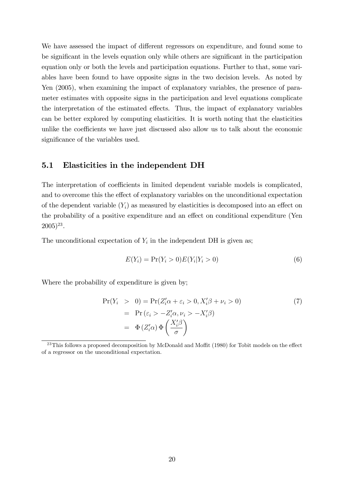We have assessed the impact of different regressors on expenditure, and found some to be significant in the levels equation only while others are significant in the participation equation only or both the levels and participation equations. Further to that, some variables have been found to have opposite signs in the two decision levels. As noted by Yen (2005), when examining the impact of explanatory variables, the presence of parameter estimates with opposite signs in the participation and level equations complicate the interpretation of the estimated effects. Thus, the impact of explanatory variables can be better explored by computing elasticities. It is worth noting that the elasticities unlike the coefficients we have just discussed also allow us to talk about the economic significance of the variables used.

## 5.1 Elasticities in the independent DH

The interpretation of coefficients in limited dependent variable models is complicated, and to overcome this the effect of explanatory variables on the unconditional expectation of the dependent variable  $(Y_i)$  as measured by elasticities is decomposed into an effect on the probability of a positive expenditure and an effect on conditional expenditure (Yen  $(2005)^{23}$ .

The unconditional expectation of  $Y_i$  in the independent DH is given as;

$$
E(Y_i) = \Pr(Y_i > 0)E(Y_i|Y_i > 0)
$$
\n(6)

Where the probability of expenditure is given by;

$$
\Pr(Y_i > 0) = \Pr(Z_i' \alpha + \varepsilon_i > 0, X_i' \beta + \nu_i > 0) \\
= \Pr(\varepsilon_i > -Z_i' \alpha, \nu_i > -X_i' \beta) \\
= \Phi(Z_i' \alpha) \Phi\left(\frac{X_i' \beta}{\sigma}\right) \tag{7}
$$

<sup>&</sup>lt;sup>23</sup>This follows a proposed decomposition by McDonald and Moffit (1980) for Tobit models on the effect of a regressor on the unconditional expectation.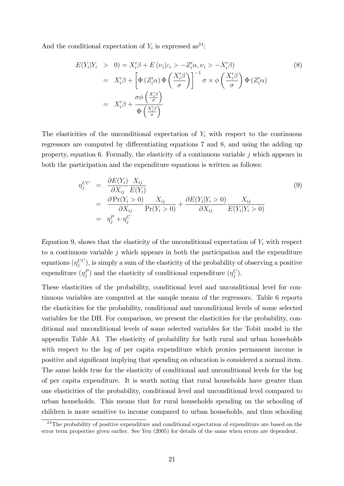And the conditional expectation of  $Y_i$  is expressed as<sup>24</sup>;

$$
E(Y_i|Y_i > 0) = X'_i \beta + E(\nu_i|\varepsilon_i > -Z'_i \alpha, \nu_i > -X'_i \beta)
$$
  
\n
$$
= X'_i \beta + \left[ \Phi(Z'_i \alpha) \Phi\left(\frac{X'_i \beta}{\sigma}\right) \right]^{-1} \sigma \times \phi\left(\frac{X'_i \beta}{\sigma}\right) \Phi(Z'_i \alpha)
$$
  
\n
$$
= X'_i \beta + \frac{\sigma \phi\left(\frac{X'_i \beta}{\sigma}\right)}{\Phi\left(\frac{X'_i \beta}{\sigma}\right)}
$$
  
\n(8)

The elasticities of the unconditional expectation of  $Y_i$  with respect to the continuous regressors are computed by differentiating equations 7 and 8, and using the adding up property, equation 6. Formally, the elasticity of a continuous variable  $j$  which appears in both the participation and the expenditure equations is written as follows:

$$
\eta_j^{UC} = \frac{\partial E(Y_i)}{\partial X_{ij}} \frac{X_{ij}}{E(Y_i)}
$$
\n
$$
= \frac{\partial \Pr(Y_i > 0)}{\partial X_{ij}} \frac{X_{ij}}{\Pr(Y_i > 0)} + \frac{\partial E(Y_i|Y_i > 0)}{\partial X_{ij}} \frac{X_{ij}}{E(Y_i|Y_i > 0)}
$$
\n
$$
= \eta_j^P + \eta_j^C
$$
\n(9)

Equation 9, shows that the elasticity of the unconditional expectation of  $Y_i$  with respect to a continuous variable  $j$  which appears in both the participation and the expenditure equations  $(\eta_j^{UC})$ , is simply a sum of the elasticity of the probability of observing a positive expenditure  $(\eta_j^P)$  and the elasticity of conditional expenditure  $(\eta_j^C)$ .

These elasticities of the probability, conditional level and unconditional level for continuous variables are computed at the sample means of the regressors. Table 6 reports the elasticities for the probability, conditional and unconditional levels of some selected variables for the DH. For comparison, we present the elasticities for the probability, conditional and unconditional levels of some selected variables for the Tobit model in the appendix Table A4. The elasticity of probability for both rural and urban households with respect to the log of per capita expenditure which proxies permanent income is positive and significant implying that spending on education is considered a normal item. The same holds true for the elasticity of conditional and unconditional levels for the log of per capita expenditure. It is worth noting that rural households have greater than one elasticities of the probability, conditional level and unconditional level compared to urban households. This means that for rural households spending on the schooling of children is more sensitive to income compared to urban households, and thus schooling

 $^{24}$ The probability of positive expenditure and conditional expectation of expenditure are based on the error term properties given earlier. See Yen (2005) for details of the same when errors are dependent.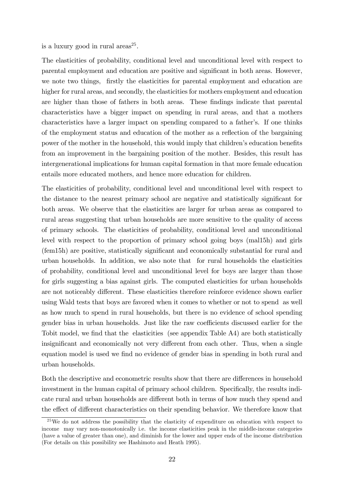is a luxury good in rural  $\arccos^{25}$ .

The elasticities of probability, conditional level and unconditional level with respect to parental employment and education are positive and significant in both areas. However, we note two things, firstly the elasticities for parental employment and education are higher for rural areas, and secondly, the elasticities for mothers employment and education are higher than those of fathers in both areas. These findings indicate that parental characteristics have a bigger impact on spending in rural areas, and that a mothers characteristics have a larger impact on spending compared to a father's. If one thinks of the employment status and education of the mother as a reflection of the bargaining power of the mother in the household, this would imply that children's education benefits from an improvement in the bargaining position of the mother. Besides, this result has intergenerational implications for human capital formation in that more female education entails more educated mothers, and hence more education for children.

The elasticities of probability, conditional level and unconditional level with respect to the distance to the nearest primary school are negative and statistically significant for both areas. We observe that the elasticities are larger for urban areas as compared to rural areas suggesting that urban households are more sensitive to the quality of access of primary schools. The elasticities of probability, conditional level and unconditional level with respect to the proportion of primary school going boys (mal15h) and girls (fem15h) are positive, statistically signiÖcant and economically substantial for rural and urban households. In addition, we also note that for rural households the elasticities of probability, conditional level and unconditional level for boys are larger than those for girls suggesting a bias against girls. The computed elasticities for urban households are not noticeably different. These elasticities therefore reinforce evidence shown earlier using Wald tests that boys are favored when it comes to whether or not to spend as well as how much to spend in rural households, but there is no evidence of school spending gender bias in urban households. Just like the raw coefficients discussed earlier for the Tobit model, we find that the elasticities (see appendix Table A4) are both statistically insignificant and economically not very different from each other. Thus, when a single equation model is used we find no evidence of gender bias in spending in both rural and urban households.

Both the descriptive and econometric results show that there are differences in household investment in the human capital of primary school children. Specifically, the results indicate rural and urban households are different both in terms of how much they spend and the effect of different characteristics on their spending behavior. We therefore know that

 $25$ We do not address the possibility that the elasticity of expenditure on education with respect to income may vary non-monotonically i.e. the income elasticities peak in the middle-income categories (have a value of greater than one), and diminish for the lower and upper ends of the income distribution (For details on this possibility see Hashimoto and Heath 1995).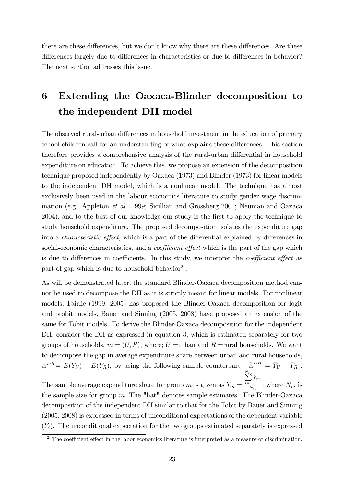there are these differences, but we don't know why there are these differences. Are these differences largely due to differences in characteristics or due to differences in behavior? The next section addresses this issue.

# 6 Extending the Oaxaca-Blinder decomposition to the independent DH model

The observed rural-urban differences in household investment in the education of primary school children call for an understanding of what explains these differences. This section therefore provides a comprehensive analysis of the rural-urban differential in household expenditure on education. To achieve this, we propose an extension of the decomposition technique proposed independently by Oaxaca (1973) and Blinder (1973) for linear models to the independent DH model, which is a nonlinear model. The technique has almost exclusively been used in the labour economics literature to study gender wage discrimination (e.g. Appleton et al. 1999; Sicillian and Grossberg 2001; Neuman and Oaxaca 2004), and to the best of our knowledge our study is the first to apply the technique to study household expenditure. The proposed decomposition isolates the expenditure gap into a *characteristic effect*, which is a part of the differential explained by differences in social-economic characteristics, and a *coefficient effect* which is the part of the gap which is due to differences in coefficients. In this study, we interpret the *coefficient effect* as part of gap which is due to household behavior<sup>26</sup>.

As will be demonstrated later, the standard Blinder-Oaxaca decomposition method cannot be used to decompose the DH as it is strictly meant for linear models. For nonlinear models; Fairlie (1999, 2005) has proposed the Blinder-Oaxaca decomposition for logit and probit models, Bauer and Sinning (2005, 2008) have proposed an extension of the same for Tobit models. To derive the Blinder-Oaxaca decomposition for the independent DH; consider the DH as expressed in equation 3, which is estimated separately for two groups of households,  $m = (U, R)$ , where; U =urban and R =rural households. We want to decompose the gap in average expenditure share between urban and rural households,  $\Delta^{DH} = E(Y_U) - E(Y_R)$ , by using the following sample counterpart  $\hat{\Delta}^{DH} = \bar{Y}_U - \bar{Y}_R$ .

The sample average expenditure share for group m is given as  $\bar{Y}_m =$  $\sum_{n=1}^{N-m}$  $\sum_{i=1} \hat{Y}_{im}$  $\frac{1}{N_m}$ ; where  $N_m$  is the sample size for group  $m$ . The "hat" denotes sample estimates. The Blinder-Oaxaca decomposition of the independent DH similar to that for the Tobit by Bauer and Sinning (2005, 2008) is expressed in terms of unconditional expectations of the dependent variable  $(Y_i)$ . The unconditional expectation for the two groups estimated separately is expressed

 $26$ The coefficient effect in the labor economics literature is interpreted as a measure of discrimination.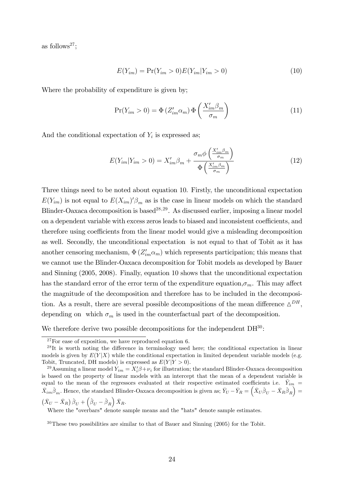as follows<sup>27</sup>;

$$
E(Y_{im}) = \Pr(Y_{im} > 0)E(Y_{im}|Y_{im} > 0)
$$
\n(10)

Where the probability of expenditure is given by;

$$
Pr(Y_{im} > 0) = \Phi(Z'_{im}\alpha_m) \Phi\left(\frac{X'_{im}\beta_m}{\sigma_m}\right)
$$
\n(11)

And the conditional expectation of  $Y_i$  is expressed as;

$$
E(Y_{im}|Y_{im}>0) = X'_{im}\beta_m + \frac{\sigma_m \phi\left(\frac{X'_{im}\beta_m}{\sigma_m}\right)}{\Phi\left(\frac{X'_{im}\beta_m}{\sigma_m}\right)}
$$
(12)

Three things need to be noted about equation 10. Firstly, the unconditional expectation  $E(Y_{im})$  is not equal to  $E(X_{im})' \beta_m$  as is the case in linear models on which the standard Blinder-Oaxaca decomposition is based<sup>28,29</sup>. As discussed earlier, imposing a linear model on a dependent variable with excess zeros leads to biased and inconsistent coefficients, and therefore using coefficients from the linear model would give a misleading decomposition as well. Secondly, the unconditional expectation is not equal to that of Tobit as it has another censoring mechanism,  $\Phi(Z'_{im} \alpha_m)$  which represents participation; this means that we cannot use the Blinder-Oaxaca decomposition for Tobit models as developed by Bauer and Sinning (2005, 2008). Finally, equation 10 shows that the unconditional expectation has the standard error of the error term of the expenditure equation,  $\sigma_m$ . This may affect the magnitude of the decomposition and therefore has to be included in the decomposition. As a result, there are several possible decompositions of the mean difference  $\Delta^{DH}$ , depending on which  $\sigma_m$  is used in the counterfactual part of the decomposition.

We therefore derive two possible decompositions for the independent  $DH^{30}$ :

Where the "overbars" denote sample means and the "hats" denote sample estimates.

 $30$ These two possibilities are similar to that of Bauer and Sinning (2005) for the Tobit.

<sup>&</sup>lt;sup>27</sup>For ease of exposition, we have reproduced equation 6.

 $^{28}$ It is worth noting the difference in terminology used here; the conditional expectation in linear models is given by  $E(Y|X)$  while the conditional expectation in limited dependent variable models (e.g. Tobit, Truncated, DH models) is expressed as  $E(Y|Y>0)$ .

<sup>&</sup>lt;sup>29</sup> Assuming a linear model  $Y_{im} = X_i' \beta + \nu_i$  for illustration; the standard Blinder-Oaxaca decomposition is based on the property of linear models with an intercept that the mean of a dependent variable is equal to the mean of the regressors evaluated at their respective estimated coefficients i.e.  $\bar{Y}_{im}$  =  $\overline{X}_{im}\hat{\beta}_m$ . Hence, the standard Blinder-Oaxaca decomposition is given as;  $\overline{Y}_U - \overline{Y}_R = \left(\overline{X}_U\hat{\beta}_U - \overline{X}_R\hat{\beta}_R\right) =$  $(\bar{X}_U - \bar{X}_R) \hat{\beta}_U + (\hat{\beta}_U - \hat{\beta}_R) \bar{X}_R.$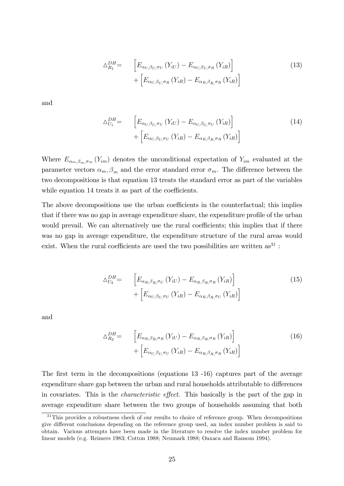$$
\Delta_{R_1}^{DH} = \left[ E_{\alpha_U, \beta_U, \sigma_U} \left( Y_{iU} \right) - E_{\alpha_U, \beta_U, \sigma_R} \left( Y_{iR} \right) \right] + \left[ E_{\alpha_U, \beta_U, \sigma_R} \left( Y_{iR} \right) - E_{\alpha_R, \beta_R, \sigma_R} \left( Y_{iR} \right) \right]
$$
\n
$$
(13)
$$

and

$$
\Delta_{U_1}^{DH} = \qquad \left[ E_{\alpha_{U,\beta_{U,\sigma_{U}}}}(Y_{iU}) - E_{\alpha_{U,\beta_{U,\sigma_{U}}}}(Y_{iR}) \right] \\
 + \left[ E_{\alpha_{U,\beta_{U,\sigma_{U}}}}(Y_{iR}) - E_{\alpha_{R,\beta_{R,\sigma_{R}}}}(Y_{iR}) \right]
$$
\n
$$
(14)
$$

Where  $E_{\alpha_m,\beta_m,\sigma_m}(Y_{im})$  denotes the unconditional expectation of  $Y_{im}$  evaluated at the parameter vectors  $\alpha_m, \beta_m$  and the error standard error  $\sigma_m$ . The difference between the two decompositions is that equation 13 treats the standard error as part of the variables while equation 14 treats it as part of the coefficients.

The above decompositions use the urban coefficients in the counterfactual; this implies that if there was no gap in average expenditure share, the expenditure profile of the urban would prevail. We can alternatively use the rural coefficients; this implies that if there was no gap in average expenditure, the expenditure structure of the rural areas would exist. When the rural coefficients are used the two possibilities are written  $as^{31}$ :

$$
\Delta_{U_2}^{DH} = \qquad \left[ E_{\alpha_{R,\beta_{R,\sigma_{U}}}}(Y_{iU}) - E_{\alpha_{R,\beta_{R,\sigma_{R}}}}(Y_{iR}) \right] + \left[ E_{\alpha_{U,\beta_{U,\sigma_{U}}}}(Y_{iR}) - E_{\alpha_{R,\beta_{R,\sigma_{U}}}}(Y_{iR}) \right]
$$
\n
$$
(15)
$$

and

$$
\Delta_{R_2}^{DH} = \left[ E_{\alpha_R, \beta_R, \sigma_R} \left( Y_{iU} \right) - E_{\alpha_R, \beta_R, \sigma_R} \left( Y_{iR} \right) \right] + \left[ E_{\alpha_U, \beta_U, \sigma_U} \left( Y_{iR} \right) - E_{\alpha_R, \beta_R, \sigma_R} \left( Y_{iR} \right) \right]
$$
\n(16)

The first term in the decompositions (equations 13 -16) captures part of the average expenditure share gap between the urban and rural households attributable to differences in covariates. This is the *characteristic effect*. This basically is the part of the gap in average expenditure share between the two groups of households assuming that both

 $31$ This provides a robustness check of our results to choice of reference group. When decompositions give different conclusions depending on the reference group used, an index number problem is said to obtain. Various attempts have been made in the literature to resolve the index number problem for linear models (e.g. Reimers 1983; Cotton 1988; Neumark 1988; Oaxaca and Ransom 1994).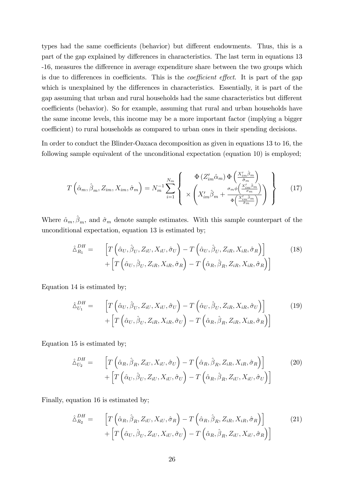types had the same coefficients (behavior) but different endowments. Thus, this is a part of the gap explained by differences in characteristics. The last term in equations 13 -16, measures the difference in average expenditure share between the two groups which is due to differences in coefficients. This is the *coefficient effect*. It is part of the gap which is unexplained by the differences in characteristics. Essentially, it is part of the gap assuming that urban and rural households had the same characteristics but different coefficients (behavior). So for example, assuming that rural and urban households have the same income levels, this income may be a more important factor (implying a bigger coefficient) to rural households as compared to urban ones in their spending decisions.

In order to conduct the Blinder-Oaxaca decomposition as given in equations 13 to 16, the following sample equivalent of the unconditional expectation (equation 10) is employed;

$$
T\left(\hat{\alpha}_m, \hat{\beta}_m, Z_{im}, X_{im}, \hat{\sigma}_m\right) = N_m^{-1} \sum_{i=1}^{N_m} \left\{ \begin{array}{c} \Phi\left(Z'_{im}\hat{\alpha}_m\right) \Phi\left(\frac{X'_{im}\hat{\beta}_m}{\hat{\sigma}_m}\right) \\ \times \left(X'_{im}\hat{\beta}_m + \frac{\sigma_m \phi\left(\frac{X'_{im}\hat{\beta}_m}{\sigma_m}\right)}{\Phi\left(\frac{X'_{im}\hat{\beta}_m}{\hat{\sigma}_m}\right)}\right) \end{array} \right\}
$$
(17)

Where  $\hat{\alpha}_m, \hat{\beta}_m$ , and  $\hat{\sigma}_m$  denote sample estimates. With this sample counterpart of the unconditional expectation, equation 13 is estimated by;

$$
\hat{\Delta}_{R_1}^{DH} = \left[ T\left( \hat{\alpha}_U, \hat{\beta}_U, Z_{iU}, X_{iU}, \hat{\sigma}_U \right) - T\left( \hat{\alpha}_U, \hat{\beta}_U, Z_{iR}, X_{iR}, \hat{\sigma}_R \right) \right] + \left[ T\left( \hat{\alpha}_U, \hat{\beta}_U, Z_{iR}, X_{iR}, \hat{\sigma}_R \right) - T\left( \hat{\alpha}_R, \hat{\beta}_R, Z_{iR}, X_{iR}, \hat{\sigma}_R \right) \right]
$$
\n(18)

Equation 14 is estimated by;

$$
\hat{\Delta}_{U_1}^{DH} = \left[ T\left( \hat{\alpha}_U, \hat{\beta}_U, Z_{iU}, X_{iU}, \hat{\sigma}_U \right) - T\left( \hat{\alpha}_U, \hat{\beta}_U, Z_{iR}, X_{iR}, \hat{\sigma}_U \right) \right] + \left[ T\left( \hat{\alpha}_U, \hat{\beta}_U, Z_{iR}, X_{iR}, \hat{\sigma}_U \right) - T\left( \hat{\alpha}_R, \hat{\beta}_R, Z_{iR}, X_{iR}, \hat{\sigma}_R \right) \right]
$$
\n
$$
(19)
$$

Equation 15 is estimated by;

$$
\hat{\Delta}_{U_2}^{DH} = \left[ T\left( \hat{\alpha}_R, \hat{\beta}_R, Z_{iU}, X_{iU}, \hat{\sigma}_U \right) - T\left( \hat{\alpha}_R, \hat{\beta}_R, Z_{iR}, X_{iR}, \hat{\sigma}_R \right) \right] + \left[ T\left( \hat{\alpha}_U, \hat{\beta}_U, Z_{iU}, X_{iU}, \hat{\sigma}_U \right) - T\left( \hat{\alpha}_R, \hat{\beta}_R, Z_{iU}, X_{iU}, \hat{\sigma}_U \right) \right]
$$
\n(20)

Finally, equation 16 is estimated by;

$$
\hat{\Delta}_{R_2}^{DH} = \left[ T\left( \hat{\alpha}_R, \hat{\beta}_R, Z_{iU}, X_{iU}, \hat{\sigma}_R \right) - T\left( \hat{\alpha}_R, \hat{\beta}_R, Z_{iR}, X_{iR}, \hat{\sigma}_R \right) \right] + \left[ T\left( \hat{\alpha}_U, \hat{\beta}_U, Z_{iU}, X_{iU}, \hat{\sigma}_U \right) - T\left( \hat{\alpha}_R, \hat{\beta}_R, Z_{iU}, X_{iU}, \hat{\sigma}_R \right) \right]
$$
\n(21)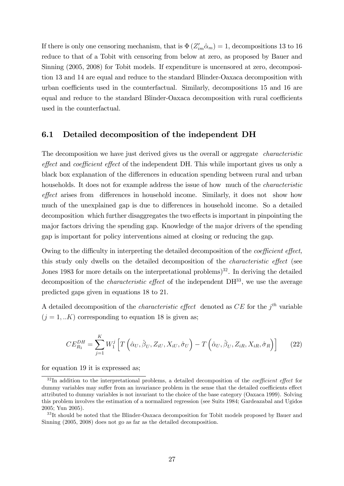If there is only one censoring mechanism, that is  $\Phi(Z'_{im}\hat{\alpha}_m) = 1$ , decompositions 13 to 16 reduce to that of a Tobit with censoring from below at zero, as proposed by Bauer and Sinning (2005, 2008) for Tobit models. If expenditure is uncensored at zero, decomposition 13 and 14 are equal and reduce to the standard Blinder-Oaxaca decomposition with urban coefficients used in the counterfactual. Similarly, decompositions 15 and 16 are equal and reduce to the standard Blinder-Oaxaca decomposition with rural coefficients used in the counterfactual.

### 6.1 Detailed decomposition of the independent DH

The decomposition we have just derived gives us the overall or aggregate *characteristic* effect and coefficient effect of the independent DH. This while important gives us only a black box explanation of the differences in education spending between rural and urban households. It does not for example address the issue of how much of the *characteristic* effect arises from differences in household income. Similarly, it does not show how much of the unexplained gap is due to differences in household income. So a detailed decomposition which further disaggregates the two effects is important in pinpointing the major factors driving the spending gap. Knowledge of the major drivers of the spending gap is important for policy interventions aimed at closing or reducing the gap.

Owing to the difficulty in interpreting the detailed decomposition of the *coefficient effect*, this study only dwells on the detailed decomposition of the *characteristic effect* (see Jones 1983 for more details on the interpretational problems)<sup>32</sup>. In deriving the detailed decomposition of the *characteristic effect* of the independent  $DH^{33}$ , we use the average predicted gaps given in equations 18 to 21.

A detailed decomposition of the *characteristic effect* denoted as  $CE$  for the  $j<sup>th</sup>$  variable  $(j = 1,..K)$  corresponding to equation 18 is given as;

$$
CE_{R_1}^{DH} = \sum_{j=1}^{K} W_1^j \left[ T \left( \hat{\alpha}_U, \hat{\beta}_U, Z_{iU}, X_{iU}, \hat{\sigma}_U \right) - T \left( \hat{\alpha}_U, \hat{\beta}_U, Z_{iR}, X_{iR}, \hat{\sigma}_R \right) \right]
$$
(22)

for equation 19 it is expressed as;

 $32$ In addition to the interpretational problems, a detailed decomposition of the *coefficient effect* for dummy variables may suffer from an invariance problem in the sense that the detailed coefficients effect attributed to dummy variables is not invariant to the choice of the base category (Oaxaca 1999). Solving this problem involves the estimation of a normalized regression (see Suits 1984; Gardeazabal and Ugidos 2005; Yun 2005).

<sup>&</sup>lt;sup>33</sup>It should be noted that the Blinder-Oaxaca decomposition for Tobit models proposed by Bauer and Sinning (2005, 2008) does not go as far as the detailed decomposition.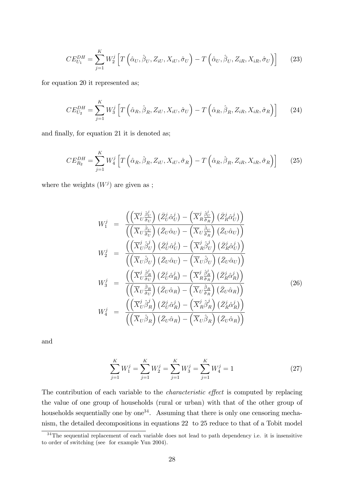$$
CE_{U_1}^{DH} = \sum_{j=1}^{K} W_2^j \left[ T \left( \hat{\alpha}_U, \hat{\beta}_U, Z_{iU}, X_{iU}, \hat{\sigma}_U \right) - T \left( \hat{\alpha}_U, \hat{\beta}_U, Z_{iR}, X_{iR}, \hat{\sigma}_U \right) \right]
$$
(23)

for equation 20 it represented as;

$$
CE_{U_2}^{DH} = \sum_{j=1}^{K} W_3^j \left[ T \left( \hat{\alpha}_R, \hat{\beta}_R, Z_{iU}, X_{iU}, \hat{\sigma}_U \right) - T \left( \hat{\alpha}_R, \hat{\beta}_R, Z_{iR}, X_{iR}, \hat{\sigma}_R \right) \right]
$$
(24)

and finally, for equation 21 it is denoted as;

$$
CE_{R_2}^{DH} = \sum_{j=1}^{K} W_4^j \left[ T \left( \hat{\alpha}_R, \hat{\beta}_R, Z_{iU}, X_{iU}, \hat{\sigma}_R \right) - T \left( \hat{\alpha}_R, \hat{\beta}_R, Z_{iR}, X_{iR}, \hat{\sigma}_R \right) \right]
$$
(25)

where the weights  $(W<sup>j</sup>)$  are given as ;

$$
W_{1}^{j} = \frac{\left(\left(\overline{X}_{U}^{j}\frac{\partial_{U}^{j}}{\partial_{U}}\right)\left(\overline{Z}_{U}^{j}\hat{\alpha}_{U}^{j}\right) - \left(\overline{X}_{R}^{j}\frac{\partial_{U}^{j}}{\partial_{R}}\right)\left(\overline{Z}_{R}\hat{\alpha}_{U}^{j}\right)\right)}{\left(\left(\overline{X}_{U}\frac{\partial_{U}}{\partial_{U}}\right)\left(\overline{Z}_{U}\hat{\alpha}_{U}\right) - \left(\overline{X}_{U}\frac{\partial_{U}}{\partial_{R}}\right)\left(\overline{Z}_{U}\hat{\alpha}_{U}\right)\right)}
$$
\n
$$
W_{2}^{j} = \frac{\left(\left(\overline{X}_{U}^{j}\beta_{U}^{j}\right)\left(\overline{Z}_{U}^{j}\hat{\alpha}_{U}\right) - \left(\overline{X}_{R}^{j}\beta_{U}^{j}\right)\left(\overline{Z}_{R}\hat{\alpha}_{U}^{j}\right)\right)}{\left(\left(\overline{X}_{U}\beta_{U}\right)\left(\overline{Z}_{U}\hat{\alpha}_{U}\right) - \left(\overline{X}_{U}\beta_{U}\right)\left(\overline{Z}_{U}\hat{\alpha}_{U}\right)\right)}
$$
\n
$$
W_{3}^{j} = \frac{\left(\left(\overline{X}_{U}^{j}\frac{\partial_{R}^{j}}{\partial_{U}}\right)\left(\overline{Z}_{U}\hat{\alpha}_{R}\right) - \left(\overline{X}_{R}^{j}\frac{\partial_{R}^{j}}{\partial_{R}}\right)\left(\overline{Z}_{R}\hat{\alpha}_{R}^{j}\right)\right)}{\left(\left(\overline{X}_{U}\frac{\partial_{R}}{\partial_{U}}\right)\left(\overline{Z}_{U}\hat{\alpha}_{R}\right) - \left(\overline{X}_{U}\frac{\partial_{R}}{\partial_{R}}\right)\left(\overline{Z}_{U}\hat{\alpha}_{R}\right)\right)}
$$
\n
$$
W_{4}^{j} = \frac{\left(\left(\overline{X}_{U}^{j}\beta_{R}^{j}\right)\left(\overline{Z}_{U}^{j}\hat{\alpha}_{R}^{j}\right) - \left(\overline{X}_{R}^{j}\beta_{R}^{j}\right)\left(\overline{Z}_{R}^{j}\hat{\alpha}_{R}^{j}\right)\right)}{\left(\left(\overline{X}_{U}\beta_{R}\right)\left(\overline{Z}_{U}\hat{\alpha}_{R}\right) - \left(\overline{X}_{U}\beta_{R}\right)\left
$$

and

$$
\sum_{j=1}^{K} W_1^j = \sum_{j=1}^{K} W_2^j = \sum_{j=1}^{K} W_3^j = \sum_{j=1}^{K} W_4^j = 1
$$
 (27)

The contribution of each variable to the *characteristic effect* is computed by replacing the value of one group of households (rural or urban) with that of the other group of households sequentially one by  $one<sup>34</sup>$ . Assuming that there is only one censoring mechanism, the detailed decompositions in equations 22 to 25 reduce to that of a Tobit model

 $34$ The sequential replacement of each variable does not lead to path dependency i.e. it is insensitive to order of switching (see for example Yun 2004).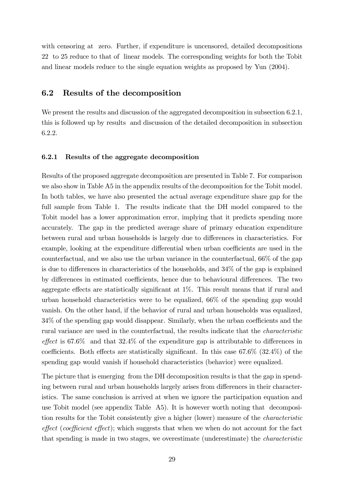with censoring at zero. Further, if expenditure is uncensored, detailed decompositions 22 to 25 reduce to that of linear models. The corresponding weights for both the Tobit and linear models reduce to the single equation weights as proposed by Yun (2004).

## 6.2 Results of the decomposition

We present the results and discussion of the aggregated decomposition in subsection 6.2.1, this is followed up by results and discussion of the detailed decomposition in subsection 6.2.2.

### 6.2.1 Results of the aggregate decomposition

Results of the proposed aggregate decomposition are presented in Table 7. For comparison we also show in Table A5 in the appendix results of the decomposition for the Tobit model. In both tables, we have also presented the actual average expenditure share gap for the full sample from Table 1. The results indicate that the DH model compared to the Tobit model has a lower approximation error, implying that it predicts spending more accurately. The gap in the predicted average share of primary education expenditure between rural and urban households is largely due to differences in characteristics. For example, looking at the expenditure differential when urban coefficients are used in the counterfactual, and we also use the urban variance in the counterfactual, 66% of the gap is due to differences in characteristics of the households, and  $34\%$  of the gap is explained by differences in estimated coefficients, hence due to behavioural differences. The two aggregate effects are statistically significant at  $1\%$ . This result means that if rural and urban household characteristics were to be equalized, 66% of the spending gap would vanish. On the other hand, if the behavior of rural and urban households was equalized,  $34\%$  of the spending gap would disappear. Similarly, when the urban coefficients and the rural variance are used in the counterfactual, the results indicate that the characteristic effect is  $67.6\%$  and that  $32.4\%$  of the expenditure gap is attributable to differences in coefficients. Both effects are statistically significant. In this case  $67.6\%$  (32.4%) of the spending gap would vanish if household characteristics (behavior) were equalized.

The picture that is emerging from the DH decomposition results is that the gap in spending between rural and urban households largely arises from differences in their characteristics. The same conclusion is arrived at when we ignore the participation equation and use Tobit model (see appendix Table A5). It is however worth noting that decomposition results for the Tobit consistently give a higher (lower) measure of the characteristic  $effect$  (coefficient effect); which suggests that when we when do not account for the fact that spending is made in two stages, we overestimate (underestimate) the characteristic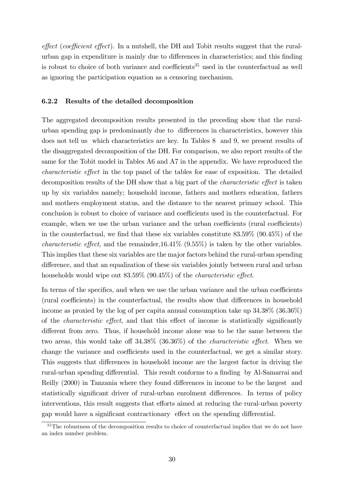$effect$  (coefficient effect). In a nutshell, the DH and Tobit results suggest that the ruralurban gap in expenditure is mainly due to differences in characteristics; and this finding is robust to choice of both variance and coefficients<sup>35</sup> used in the counterfactual as well as ignoring the participation equation as a censoring mechanism.

### 6.2.2 Results of the detailed decomposition

The aggregated decomposition results presented in the preceding show that the ruralurban spending gap is predominantly due to differences in characteristics, however this does not tell us which characteristics are key. In Tables 8 and 9, we present results of the disaggregated decomposition of the DH. For comparison, we also report results of the same for the Tobit model in Tables A6 and A7 in the appendix. We have reproduced the characteristic effect in the top panel of the tables for ease of exposition. The detailed decomposition results of the DH show that a big part of the *characteristic effect* is taken up by six variables namely; household income, fathers and mothers education, fathers and mothers employment status, and the distance to the nearest primary school. This conclusion is robust to choice of variance and coefficients used in the counterfactual. For example, when we use the urban variance and the urban coefficients (rural coefficients) in the counterfactual, we find that these six variables constitute  $83.59\%$  (90.45%) of the *characteristic effect*, and the remainder,  $16.41\%$  (9.55%) is taken by the other variables. This implies that these six variables are the major factors behind the rural-urban spending difference, and that an equalization of these six variables jointly between rural and urban households would wipe out  $83.59\%$  (90.45%) of the *characteristic effect*.

In terms of the specifics, and when we use the urban variance and the urban coefficients (rural coefficients) in the counterfactual, the results show that differences in household income as proxied by the log of per capita annual consumption take up 34.38% (36.36%) of the *characteristic effect*, and that this effect of income is statistically significantly different from zero. Thus, if household income alone was to be the same between the two areas, this would take of  $34.38\%$   $(36.36\%)$  of the *characteristic effect*. When we change the variance and coefficients used in the counterfactual, we get a similar story. This suggests that differences in household income are the largest factor in driving the rural-urban spending differential. This result conforms to a finding by Al-Samarrai and Reilly (2000) in Tanzania where they found differences in income to be the largest and statistically significant driver of rural-urban enrolment differences. In terms of policy interventions, this result suggests that efforts aimed at reducing the rural-urban poverty gap would have a significant contractionary effect on the spending differential.

 $35$ The robustness of the decomposition results to choice of counterfactual implies that we do not have an index number problem.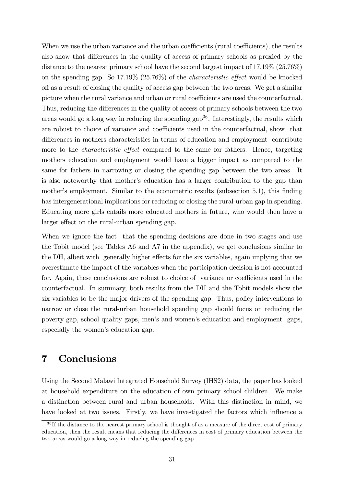When we use the urban variance and the urban coefficients (rural coefficients), the results also show that differences in the quality of access of primary schools as proxied by the distance to the nearest primary school have the second largest impact of 17.19% (25.76%) on the spending gap. So  $17.19\%$  (25.76%) of the *characteristic effect* would be knocked off as a result of closing the quality of access gap between the two areas. We get a similar picture when the rural variance and urban or rural coefficients are used the counterfactual. Thus, reducing the differences in the quality of access of primary schools between the two areas would go a long way in reducing the spending  $\text{gap}^{36}$ . Interestingly, the results which are robust to choice of variance and coefficients used in the counterfactual, show that differences in mothers characteristics in terms of education and employment contribute more to the *characteristic effect* compared to the same for fathers. Hence, targeting mothers education and employment would have a bigger impact as compared to the same for fathers in narrowing or closing the spending gap between the two areas. It is also noteworthy that mother's education has a larger contribution to the gap than mother's employment. Similar to the econometric results (subsection 5.1), this finding has intergenerational implications for reducing or closing the rural-urban gap in spending. Educating more girls entails more educated mothers in future, who would then have a larger effect on the rural-urban spending gap.

When we ignore the fact that the spending decisions are done in two stages and use the Tobit model (see Tables A6 and A7 in the appendix), we get conclusions similar to the DH, albeit with generally higher effects for the six variables, again implying that we overestimate the impact of the variables when the participation decision is not accounted for. Again, these conclusions are robust to choice of variance or coefficients used in the counterfactual. In summary, both results from the DH and the Tobit models show the six variables to be the major drivers of the spending gap. Thus, policy interventions to narrow or close the rural-urban household spending gap should focus on reducing the poverty gap, school quality gaps, menís and womenís education and employment gaps, especially the women's education gap.

# 7 Conclusions

Using the Second Malawi Integrated Household Survey (IHS2) data, the paper has looked at household expenditure on the education of own primary school children. We make a distinction between rural and urban households. With this distinction in mind, we have looked at two issues. Firstly, we have investigated the factors which influence a

 $36$  If the distance to the nearest primary school is thought of as a measure of the direct cost of primary education, then the result means that reducing the differences in cost of primary education between the two areas would go a long way in reducing the spending gap.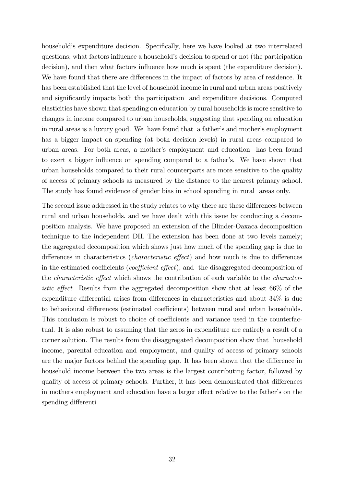household's expenditure decision. Specifically, here we have looked at two interrelated questions; what factors influence a household's decision to spend or not (the participation decision), and then what factors influence how much is spent (the expenditure decision). We have found that there are differences in the impact of factors by area of residence. It has been established that the level of household income in rural and urban areas positively and significantly impacts both the participation and expenditure decisions. Computed elasticities have shown that spending on education by rural households is more sensitive to changes in income compared to urban households, suggesting that spending on education in rural areas is a luxury good. We have found that a father's and mother's employment has a bigger impact on spending (at both decision levels) in rural areas compared to urban areas. For both areas, a motherís employment and education has been found to exert a bigger influence on spending compared to a father's. We have shown that urban households compared to their rural counterparts are more sensitive to the quality of access of primary schools as measured by the distance to the nearest primary school. The study has found evidence of gender bias in school spending in rural areas only.

The second issue addressed in the study relates to why there are these differences between rural and urban households, and we have dealt with this issue by conducting a decomposition analysis. We have proposed an extension of the Blinder-Oaxaca decomposition technique to the independent DH. The extension has been done at two levels namely; the aggregated decomposition which shows just how much of the spending gap is due to differences in characteristics (*characteristic effect*) and how much is due to differences in the estimated coefficients (*coefficient effect*), and the disaggregated decomposition of the *characteristic effect* which shows the contribution of each variable to the *characteristic effect.* Results from the aggregated decomposition show that at least  $66\%$  of the expenditure differential arises from differences in characteristics and about  $34\%$  is due to behavioural differences (estimated coefficients) between rural and urban households. This conclusion is robust to choice of coefficients and variance used in the counterfactual. It is also robust to assuming that the zeros in expenditure are entirely a result of a corner solution. The results from the disaggregated decomposition show that household income, parental education and employment, and quality of access of primary schools are the major factors behind the spending gap. It has been shown that the difference in household income between the two areas is the largest contributing factor, followed by quality of access of primary schools. Further, it has been demonstrated that differences in mothers employment and education have a larger effect relative to the father's on the spending differenti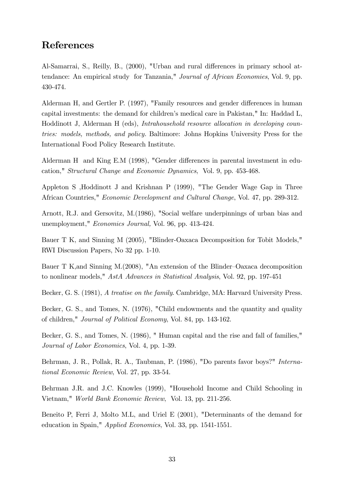# References

Al-Samarrai, S., Reilly, B., (2000), "Urban and rural differences in primary school attendance: An empirical study for Tanzania," Journal of African Economies, Vol. 9, pp. 430-474.

Alderman H, and Gertler P. (1997), "Family resources and gender differences in human capital investments: the demand for childrenís medical care in Pakistan," In: Haddad L, Hoddinott J, Alderman H (eds), Intrahousehold resource allocation in developing countries: models, methods, and policy. Baltimore: Johns Hopkins University Press for the International Food Policy Research Institute.

Alderman H and King E.M  $(1998)$ , "Gender differences in parental investment in education," Structural Change and Economic Dynamics, Vol. 9, pp. 453-468.

Appleton S ,Hoddinott J and Krishnan P (1999), "The Gender Wage Gap in Three African Countries," Economic Development and Cultural Change, Vol. 47, pp. 289-312.

Arnott, R.J. and Gersovitz, M.(1986), "Social welfare underpinnings of urban bias and unemployment," Economics Journal, Vol. 96, pp. 413-424.

Bauer T K, and Sinning M (2005), "Blinder-Oaxaca Decomposition for Tobit Models," RWI Discussion Papers, No 32 pp. 1-10.

Bauer T K,and Sinning M.(2008), "An extension of the Blinder–Oaxaca decomposition to nonlinear models," AstA Advances in Statistical Analysis, Vol. 92, pp. 197-451

Becker, G. S. (1981), A treatise on the family. Cambridge, MA: Harvard University Press.

Becker, G. S., and Tomes, N. (1976), "Child endowments and the quantity and quality of children," Journal of Political Economy, Vol. 84, pp. 143-162.

Becker, G. S., and Tomes, N. (1986), " Human capital and the rise and fall of families," Journal of Labor Economics, Vol. 4, pp. 1-39.

Behrman, J. R., Pollak, R. A., Taubman, P. (1986), "Do parents favor boys?" International Economic Review, Vol. 27, pp. 33-54.

Behrman J.R. and J.C. Knowles (1999), "Household Income and Child Schooling in Vietnam," World Bank Economic Review, Vol. 13, pp. 211-256.

Beneito P, Ferri J, Molto M.L, and Uriel E (2001), "Determinants of the demand for education in Spain," Applied Economics, Vol. 33, pp. 1541-1551.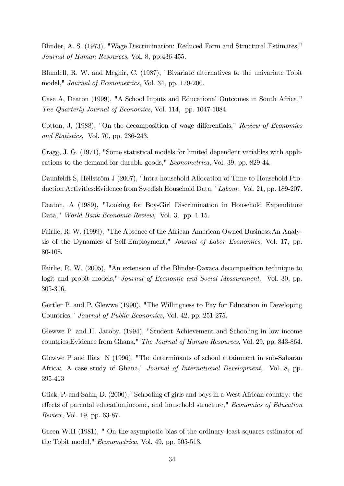Blinder, A. S. (1973), "Wage Discrimination: Reduced Form and Structural Estimates," Journal of Human Resources, Vol. 8, pp.436-455.

Blundell, R. W. and Meghir, C. (1987), "Bivariate alternatives to the univariate Tobit model," Journal of Econometrics, Vol. 34, pp. 179-200.

Case A, Deaton (1999), "A School Inputs and Educational Outcomes in South Africa," The Quarterly Journal of Economics, Vol. 114, pp. 1047-1084.

Cotton, J,  $(1988)$ , "On the decomposition of wage differentials," Review of Economics and Statistics, Vol. 70, pp. 236-243.

Cragg, J. G. (1971), "Some statistical models for limited dependent variables with applications to the demand for durable goods," Econometrica, Vol. 39, pp. 829-44.

Daunfeldt S, Hellström J (2007), "Intra-household Allocation of Time to Household Production Activities:Evidence from Swedish Household Data," Labour, Vol. 21, pp. 189-207.

Deaton, A (1989), "Looking for Boy-Girl Discrimination in Household Expenditure Data," World Bank Economic Review, Vol. 3, pp. 1-15.

Fairlie, R. W. (1999), "The Absence of the African-American Owned Business:An Analysis of the Dynamics of Self-Employment," Journal of Labor Economics, Vol. 17, pp. 80-108.

Fairlie, R. W. (2005), "An extension of the Blinder-Oaxaca decomposition technique to logit and probit models," *Journal of Economic and Social Measurement*, Vol. 30, pp. 305-316.

Gertler P. and P. Glewwe (1990), "The Willingness to Pay for Education in Developing Countries," Journal of Public Economics, Vol. 42, pp. 251-275.

Glewwe P. and H. Jacoby. (1994), "Student Achievement and Schooling in low income countries:Evidence from Ghana," The Journal of Human Resources, Vol. 29, pp. 843-864.

Glewwe P and Ilias N (1996), "The determinants of school attainment in sub-Saharan Africa: A case study of Ghana," Journal of International Development, Vol. 8, pp. 395-413

Glick, P. and Sahn, D. (2000), "Schooling of girls and boys in a West African country: the effects of parental education, income, and household structure," Economics of Education Review, Vol. 19, pp. 63-87.

Green W.H (1981), " On the asymptotic bias of the ordinary least squares estimator of the Tobit model," Econometrica, Vol. 49, pp. 505-513.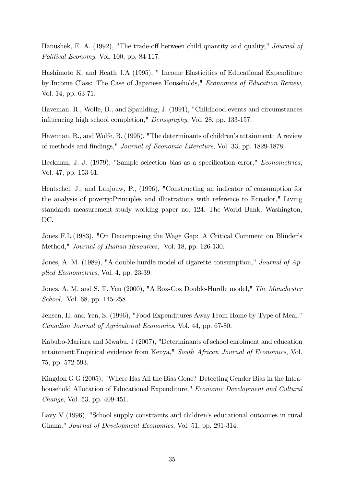Hanushek, E. A. (1992), "The trade-off between child quantity and quality," *Journal of* Political Economy, Vol. 100, pp. 84-117.

Hashimoto K. and Heath J.A (1995), " Income Elasticities of Educational Expenditure by Income Class: The Case of Japanese Households," Economics of Education Review, Vol. 14, pp. 63-71.

Haveman, R., Wolfe, B., and Spaulding, J. (1991), "Childhood events and circumstances influencing high school completion," Demography, Vol. 28, pp. 133-157.

Haveman, R., and Wolfe, B. (1995), "The determinants of children's attainment: A review of methods and Öndings," Journal of Economic Literature, Vol. 33, pp. 1829-1878.

Heckman, J. J. (1979), "Sample selection bias as a specification error," *Econometrica*, Vol. 47, pp. 153-61.

Hentschel, J., and Lanjouw, P., (1996), "Constructing an indicator of consumption for the analysis of poverty:Principles and illustrations with reference to Ecuador," Living standards measurement study working paper no. 124. The World Bank, Washington, DC.

Jones F.L.(1983), "On Decomposing the Wage Gap: A Critical Comment on Blinderís Method," Journal of Human Resources, Vol. 18, pp. 126-130.

Jones, A. M. (1989), "A double-hurdle model of cigarette consumption," *Journal of Ap*plied Econometrics, Vol. 4, pp. 23-39.

Jones, A. M. and S. T. Yen (2000), "A Box-Cox Double-Hurdle model," The Manchester School, Vol. 68, pp. 145-258.

Jensen, H. and Yen, S. (1996), "Food Expenditures Away From Home by Type of Meal," Canadian Journal of Agricultural Economics, Vol. 44, pp. 67-80.

Kabubo-Mariara and Mwabu, J (2007), "Determinants of school enrolment and education attainment:Empirical evidence from Kenya," South African Journal of Economics, Vol. 75, pp. 572-593.

Kingdon G G (2005), "Where Has All the Bias Gone? Detecting Gender Bias in the Intrahousehold Allocation of Educational Expenditure," Economic Development and Cultural Change, Vol. 53, pp. 409-451.

Lavy  $V$  (1996), "School supply constraints and children's educational outcomes in rural Ghana," Journal of Development Economics, Vol. 51, pp. 291-314.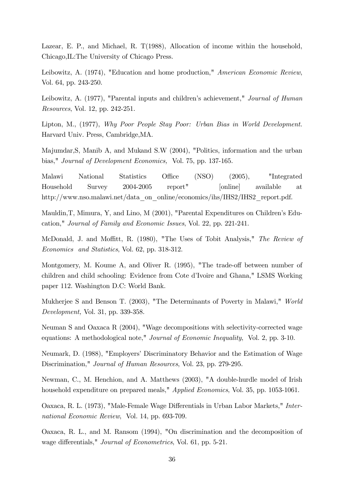Lazear, E. P., and Michael, R. T(1988), Allocation of income within the household, Chicago,IL:The University of Chicago Press.

Leibowitz, A. (1974), "Education and home production," American Economic Review, Vol. 64, pp. 243-250.

Leibowitz, A. (1977), "Parental inputs and children's achievement," *Journal of Human* Resources, Vol. 12, pp. 242-251.

Lipton, M., (1977), Why Poor People Stay Poor: Urban Bias in World Development. Harvard Univ. Press, Cambridge,MA.

Majumdar,S, Manib A, and Mukand S.W (2004), "Politics, information and the urban bias," Journal of Development Economics, Vol. 75, pp. 137-165.

Malawi National Statistics Office (NSO) (2005), "Integrated Household Survey 2004-2005 report" [online] available at http://www.nso.malawi.net/data\_on\_online/economics/ihs/IHS2/IHS2\_report.pdf.

Mauldin, T, Mimura, Y, and Lino, M (2001), "Parental Expenditures on Children's Education," Journal of Family and Economic Issues, Vol. 22, pp. 221-241.

McDonald, J. and Moffitt, R. (1980), "The Uses of Tobit Analysis," The Review of Economics and Statistics, Vol. 62, pp. 318-312.

Montgomery, M. Koume A, and Oliver R. (1995), "The trade-off between number of children and child schooling: Evidence from Cote d'Ivoire and Ghana," LSMS Working paper 112. Washington D.C: World Bank.

Mukherjee S and Benson T. (2003), "The Determinants of Poverty in Malawi," World Development, Vol. 31, pp. 339-358.

Neuman S and Oaxaca R (2004), "Wage decompositions with selectivity-corrected wage equations: A methodological note," Journal of Economic Inequality, Vol. 2, pp. 3-10.

Neumark, D. (1988), "Employersí Discriminatory Behavior and the Estimation of Wage Discrimination," Journal of Human Resources, Vol. 23, pp. 279-295.

Newman, C., M. Henchion, and A. Matthews (2003), "A double-hurdle model of Irish household expenditure on prepared meals," Applied Economics, Vol. 35, pp. 1053-1061.

Oaxaca, R. L. (1973), "Male-Female Wage Differentials in Urban Labor Markets," International Economic Review, Vol. 14, pp. 693-709.

Oaxaca, R. L., and M. Ransom (1994), "On discrimination and the decomposition of wage differentials," *Journal of Econometrics*, Vol. 61, pp. 5-21.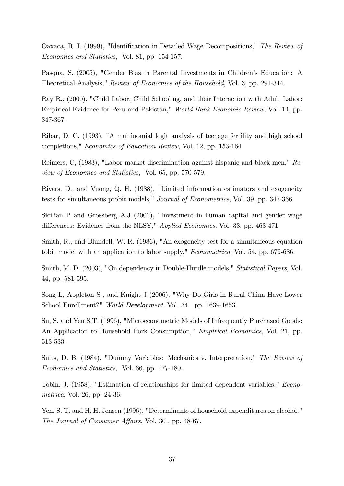Oaxaca, R. L (1999), "Identification in Detailed Wage Decompositions," The Review of Economics and Statistics, Vol. 81, pp. 154-157.

Pasqua, S. (2005), "Gender Bias in Parental Investments in Children's Education: A Theoretical Analysis," Review of Economics of the Household, Vol. 3, pp. 291-314.

Ray R., (2000), "Child Labor, Child Schooling, and their Interaction with Adult Labor: Empirical Evidence for Peru and Pakistan," World Bank Economic Review, Vol. 14, pp. 347-367.

Ribar, D. C. (1993), "A multinomial logit analysis of teenage fertility and high school completions," Economics of Education Review, Vol. 12, pp. 153-164

Reimers, C, (1983), "Labor market discrimination against hispanic and black men," Review of Economics and Statistics, Vol. 65, pp. 570-579.

Rivers, D., and Vuong, Q. H. (1988), "Limited information estimators and exogeneity tests for simultaneous probit models," Journal of Econometrics, Vol. 39, pp. 347-366.

Sicilian P and Grossberg A.J (2001), "Investment in human capital and gender wage differences: Evidence from the NLSY," Applied Economics, Vol. 33, pp. 463-471.

Smith, R., and Blundell, W. R. (1986), "An exogeneity test for a simultaneous equation tobit model with an application to labor supply," Econometrica, Vol. 54, pp. 679-686.

Smith, M. D. (2003), "On dependency in Double-Hurdle models," Statistical Papers, Vol. 44, pp. 581-595.

Song L, Appleton S , and Knight J (2006), "Why Do Girls in Rural China Have Lower School Enrollment?" World Development, Vol. 34, pp. 1639-1653.

Su, S. and Yen S.T. (1996), "Microeconometric Models of Infrequently Purchased Goods: An Application to Household Pork Consumption," Empirical Economics, Vol. 21, pp. 513-533.

Suits, D. B. (1984), "Dummy Variables: Mechanics v. Interpretation," The Review of Economics and Statistics, Vol. 66, pp. 177-180.

Tobin, J. (1958), "Estimation of relationships for limited dependent variables," Econometrica, Vol. 26, pp. 24-36.

Yen, S. T. and H. H. Jensen (1996), "Determinants of household expenditures on alcohol," The Journal of Consumer Affairs, Vol. 30, pp. 48-67.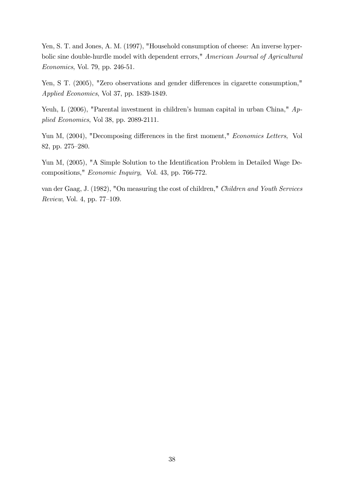Yen, S. T. and Jones, A. M. (1997), "Household consumption of cheese: An inverse hyperbolic sine double-hurdle model with dependent errors," American Journal of Agricultural Economics, Vol. 79, pp. 246-51.

Yen, S T. (2005), "Zero observations and gender differences in cigarette consumption," Applied Economics, Vol 37, pp. 1839-1849.

Yeuh, L (2006), "Parental investment in children's human capital in urban China,"  $Ap$ plied Economics, Vol 38, pp. 2089-2111.

Yun M, (2004), "Decomposing differences in the first moment," Economics Letters, Vol 82, pp. 275-280.

Yun M, (2005), "A Simple Solution to the Identification Problem in Detailed Wage Decompositions," Economic Inquiry, Vol. 43, pp. 766-772.

van der Gaag, J. (1982), "On measuring the cost of children," Children and Youth Services  $Review, Vol. 4, pp. 77–109.$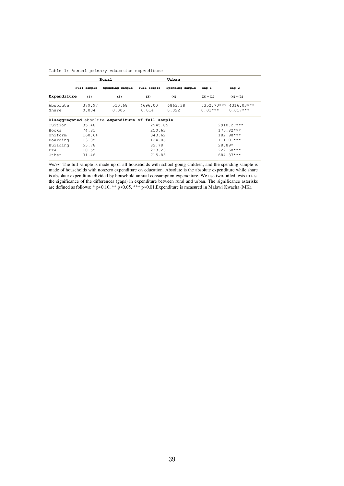|  |  |  |  |  | Table 1: Annual primary education expenditure |
|--|--|--|--|--|-----------------------------------------------|
|--|--|--|--|--|-----------------------------------------------|

|                   |                 | Rural                                             |                  | Urban            |           |                                       |
|-------------------|-----------------|---------------------------------------------------|------------------|------------------|-----------|---------------------------------------|
|                   | Full sample     | Spending sample                                   | Full sample      | Spending sample  | Gap 1     | Gap <sub>2</sub>                      |
| Expenditure       | (1)             | (2)                                               | (3)              | (4)              | $(3)-(1)$ | $(4)-(2)$                             |
| Absolute<br>Share | 379.97<br>0.004 | 510.68<br>0.005                                   | 4696.00<br>0.014 | 6863.38<br>0.022 | $0.01***$ | $6352.70***$ 4316.03***<br>$0.017***$ |
|                   |                 | Disaggregated absolute expenditure of full sample |                  |                  |           |                                       |
| Tuition           | 35.48           |                                                   | 2945.85          |                  |           | 2910.27***                            |
| Books             | 74.81           |                                                   | 250.63           |                  |           | 175.82***                             |
| Uniform           | 160.64          |                                                   | 343.62           |                  |           | $182.98***$                           |
| Boarding          | 13.05           |                                                   | 124.06           |                  |           | $111.01***$                           |
| Building          | 53.78           |                                                   | 82.78            |                  | $28.89*$  |                                       |
| PTA               | 10.55           |                                                   | 233.23           |                  |           | 222.68***                             |
| Other             | 31.46           |                                                   | 715.83           |                  |           | 684.37***                             |

*Notes:* The full sample is made up of all households with school going children, and the spending sample is made of households with nonzero expenditure on education. Absolute is the absolute expenditure while share is absolute expenditure divided by household annual consumption expenditure. We use two-tailed tests to test the significance of the differences (gaps) in expenditure between rural and urban. The significance asterisks are defined as follows: \* p<0.10, \*\* p<0.05, \*\*\* p<0.01.Expenditure is measured in Malawi Kwacha (MK).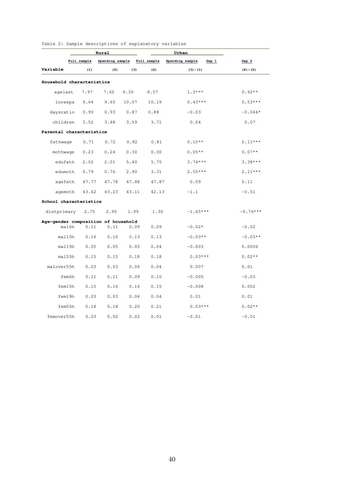|                                     |             | Rural           |       |             | Urban                      |                  |
|-------------------------------------|-------------|-----------------|-------|-------------|----------------------------|------------------|
|                                     | Full sample | Spending sample |       | Full sample | Spending sample<br>$Gap_1$ | Gap <sub>2</sub> |
| Variable                            | (1)         | (2)             | (3)   | (4)         | $(3)-(1)$                  | $(4)-(2)$        |
| Household characteristics           |             |                 |       |             |                            |                  |
| agelast                             | 7.97        | 7.65            | 9.30  | 8.57        | $1.3***$                   | $0.92**$         |
| lnrexpa                             | 9.64        | 9.65            | 10.07 | 10.19       | $0.43***$                  | $0.53***$        |
| daysratio                           | 0.90        | 0.93            | 0.87  | 0.88        | $-0.03$                    | $-0.044*$        |
| children                            | 3.52        | 3.68            | 3.59  | 3.71        | 0.04                       | 0.07             |
| Parental characteristics            |             |                 |       |             |                            |                  |
| fathwage                            | 0.71        | 0.72            | 0.82  | 0.81        | $0.10**$                   | $0.11***$        |
| mothwage                            | 0.23        | 0.24            | 0.30  | 0.30        | $0.05**$                   | $0.07**$         |
| edufath                             | 2.02        | 2.01            | 5.40  | 5.75        | $3.74***$                  | $3.38***$        |
| edumoth                             | 0.79        | 0.76            | 2.90  | 3.31        | $2.55***$                  | $2.11***$        |
| agefath                             | 47.77       | 47.78           | 47.88 | 47.87       | 0.09                       | 0.11             |
| agemoth                             | 43.62       | 43.23           | 43.11 | 42.13       | $-1.1$                     | $-0.51$          |
| School characteristics              |             |                 |       |             |                            |                  |
| distprimary                         | 2.75        | 2.95            | 1.99  | 1.30        | $-1.65***$                 | $-0.76***$       |
| Age-gender composition of household |             |                 |       |             |                            |                  |
| mal6h                               | 0.11        | 0.11            | 0.09  | 0.09        | $-0.02*$                   | $-0.02$          |
| mal15h                              | 0.16        | 0.16            | 0.13  | 0.13        | $-0.03**$                  | $-0.03**$        |
| mal19h                              | 0.05        | 0.05            | 0.05  | 0.04        | $-0.003$                   | 0.0006           |
| mal55h                              | 0.15        | 0.15            | 0.18  | 0.18        | $0.03***$                  | $0.02**$         |
| malover55h                          | 0.03        | 0.03            | 0.04  | 0.04        | 0.007                      | 0.01             |
| fem6h                               | 0.11        | 0.11            | 0.09  | 0.10        | $-0.005$                   | $-0.03$          |
| fem15h                              | 0.15        | 0.16            | 0.16  | 0.15        | $-0.008$                   | 0.002            |
| fem19h                              | 0.03        | 0.03            | 0.04  | 0.04        | 0.01                       | 0.01             |
| fem55h                              | 0.18        | 0.18            | 0.20  | 0.21        | $0.03***$                  | $0.02**$         |
| femover55h                          | 0.03        | 0.02            | 0.02  | 0.01        | $-0.01$                    | $-0.01$          |

Table 2: Sample descriptives of explanatory variables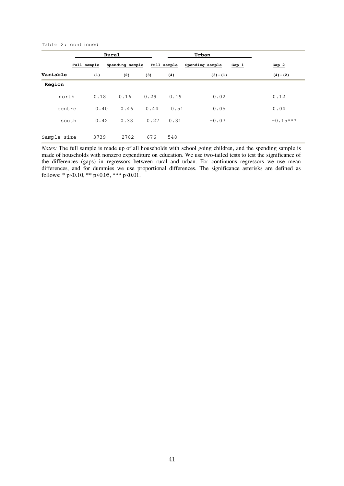#### Table 2: continued

|             | Rural |             |                 | Urban |             |                 |       |                  |  |
|-------------|-------|-------------|-----------------|-------|-------------|-----------------|-------|------------------|--|
|             |       | Full sample | Spending sample |       | Full sample | Spending sample | Gap 1 | Gap <sub>2</sub> |  |
| Variable    |       | (1)         | (2)             | (3)   | (4)         | $(3)-(1)$       |       | $(4)-(2)$        |  |
| Region      |       |             |                 |       |             |                 |       |                  |  |
| north       |       | 0.18        | 0.16            | 0.29  | 0.19        | 0.02            |       | 0.12             |  |
| centre      |       | 0.40        | 0.46            | 0.44  | 0.51        | 0.05            |       | 0.04             |  |
| south       |       | 0.42        | 0.38            | 0.27  | 0.31        | $-0.07$         |       | $-0.15***$       |  |
| Sample size |       | 3739        | 2782            | 676   | 548         |                 |       |                  |  |

*Notes:* The full sample is made up of all households with school going children, and the spending sample is made of households with nonzero expenditure on education. We use two-tailed tests to test the significance of the differences (gaps) in regressors between rural and urban. For continuous regressors we use mean differences, and for dummies we use proportional differences. The significance asterisks are defined as follows: \*  $p \le 0.10$ , \*\*  $p \le 0.05$ , \*\*\*  $p \le 0.01$ .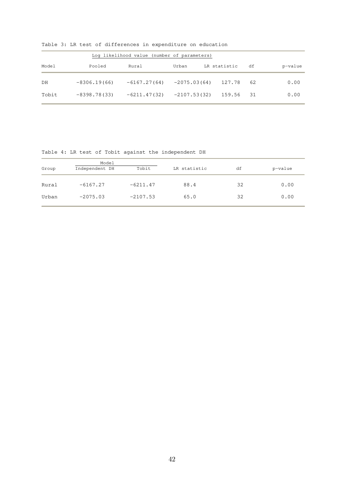|       |                | Log likelihood value (number of parameters) |                |              |     |         |
|-------|----------------|---------------------------------------------|----------------|--------------|-----|---------|
| Model | Pooled         | Rural                                       | Urban          | LR statistic | df  | p-value |
| DH    | $-8306.19(66)$ | $-6167.27(64)$                              | $-2075.03(64)$ | 127.78       | 62  | 0.00    |
| Tobit | $-8398.78(33)$ | $-6211.47(32)$                              | $-2107.53(32)$ | 159.56       | -31 | 0.00    |

Table 3: LR test of differences in expenditure on education

Table 4: LR test of Tobit against the independent DH

| Group | Model<br>Tobit<br>Independent DH |            | LR statistic | df | p-value |
|-------|----------------------------------|------------|--------------|----|---------|
| Rural | $-6167.27$                       | $-6211.47$ | 88.4         | 32 | 0.00    |
| Urban | $-2075.03$                       | $-2107.53$ | 65.0         | 32 | 0.00    |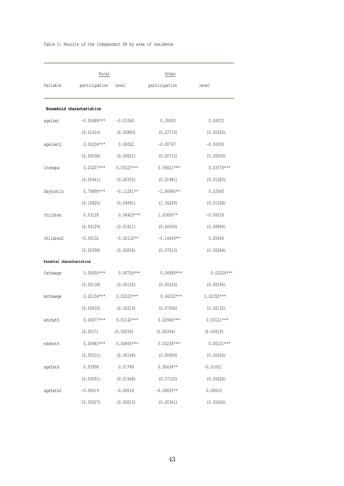| Variable                 | Rural<br>participation    | level        | Urban<br>participation | level        |
|--------------------------|---------------------------|--------------|------------------------|--------------|
|                          | Household characteristics |              |                        |              |
| agelast                  | $-0.05488***$             | $-0.01060$   | 0.30450                | 0.00072      |
|                          | (0.01614)                 | (0.00883)    | (0.23719)              | (0.00365)    |
| agelast2                 | $0.00104***$              | 0.00022      | $-0.00767$             | $-0.00009$   |
|                          | (0.00038)                 | (0.00021)    | (0.00710)              | (0.00009)    |
| lnrexpa                  | $0.23207***$              | $0.05227***$ | $0.56821***$           | $0.03576***$ |
|                          | (0.05461)                 | (0.00355)    | (0.01981)              | (0.01283)    |
| daysratio                | $0.76890***$              | $-0.11241**$ | $-2.86960**$           | 0.02045      |
|                          | (0.10820)                 | (0.04691)    | (1.34249)              | (0.01268)    |
| children                 | 0.03128                   | $0.04425***$ | $1.63650**$            | $-0.00016$   |
|                          | (0.04129)                 | (0.01411)    | (0.64050)              | (0.00804)    |
| children2                | $-0.00132$                | $-0.00132**$ | $-0.14069**$           | 0.00046      |
|                          | (0.00398)                 | (0.00056)    | (0.07013)              | (0.00084)    |
| Parental characteristics |                           |              |                        |              |
| fathwage                 | $0.00650***$              | $0.00756***$ | $0.04989***$           | $0.02324***$ |
|                          | (0.00138)                 | (0.00155)    | (0.00224)              | (0.00296)    |
| mothwage                 | $0.20134***$              | $0.02023***$ | $0.64032***$           | $0.02352***$ |
|                          | (0.05835)                 | (0.00219)    | (0.07506)              | (0.00132)    |
| edufath                  | $0.00677***$              | $0.01142***$ | $0.02940***$           | $0.00121***$ |
|                          | (0.0017)                  | (0.00259)    | (0.00354)              | (0.00019)    |
| edumoth                  | $0.00683***$              | $0.00865***$ | $0.03234***$           | $0.00231***$ |
|                          | (0.00101)                 | (0.00148)    | (0.00609)              | (0.00026)    |
| agefath                  | 0.03908                   | 0.01789      | $0.90438**$            | $-0.01001$   |
|                          | (0.03091)                 | (0.01648)    | (0.37120)              | (0.00628)    |
| agefath2                 | $-0.00019$                | $-0.00018$   | $-0.00825**$           | 0.00010      |
|                          | (0.00027)                 | (0.00015)    | (0.00341)              | (0.00006)    |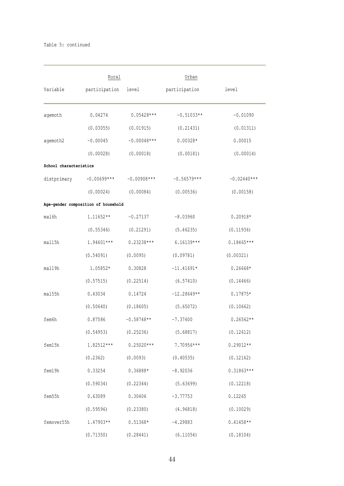|                        | Rural                               |               | Urban         |               |
|------------------------|-------------------------------------|---------------|---------------|---------------|
| Variable               | participation                       | level         | participation | level         |
| agemoth                | 0.04274                             | $0.05428***$  | $-0.51033**$  | $-0.01090$    |
|                        | (0.03055)                           | (0.01915)     | (0.21431)     | (0.01311)     |
| agemoth2               | $-0.00045$                          | $-0.00048***$ | $0.00328*$    | 0.00015       |
|                        | (0.00028)                           | (0.00018)     | (0.00181)     | (0.00014)     |
| School characteristics |                                     |               |               |               |
|                        | distprimary -0.00699***             | $-0.00908***$ | $-0.56579***$ | $-0.02440***$ |
|                        | (0.00024)                           | (0.00084)     | (0.00536)     | (0.00158)     |
|                        | Age-gender composition of household |               |               |               |
| mal6h                  | 1.11652**                           | $-0.27137$    | $-8.03960$    | $0.20918*$    |
|                        | (0.55346)                           | (0.21291)     | (5.46235)     | (0.11936)     |
| mal15h                 | 1.94601***                          | $0.23238***$  | $6.16139***$  | $0.18465***$  |
|                        | (0.54091)                           | (0.0095)      | (0.09781)     | (0.00321)     |
| mal19h                 | 1.05852*                            | 0.30828       | $-11.41691*$  | $0.26668*$    |
|                        | (0.57515)                           | (0.22514)     | (6.57410)     | (0.14466)     |
| mal55h                 | 0.43034                             | 0.14724       | $-12.28649**$ | $0.17875*$    |
|                        | (0.50640)                           | (0.18605)     | (5.65072)     | (0.10662)     |
| fem6h                  | 0.87586                             | $-0.58748**$  | $-7.37600$    | $0.26562**$   |
|                        | (0.54953)                           | (0.25236)     | (5.68817)     | (0.12612)     |
| fem15h                 | 1.82512***                          | $0.25020***$  | 7.70956***    | $0.29012**$   |
|                        | (0.2362)                            | (0.0093)      | (0.40535)     | (0.12162)     |
| fem19h                 | 0.33254                             | 0.36888*      | $-8.92036$    | $0.31863***$  |
|                        | (0.59034)                           | (0.22344)     | (5.63699)     | (0.12218)     |
| fem55h                 | 0.63089                             | 0.30406       | $-3.77753$    | 0.12265       |
|                        | (0.59596)                           | (0.23380)     | (4.96818)     | (0.10029)     |
| femover55h             | 1.47903**                           | $0.51368*$    | $-4.29883$    | $0.41458**$   |
|                        | (0.71350)                           | (0.28441)     | (6.11054)     | (0.18104)     |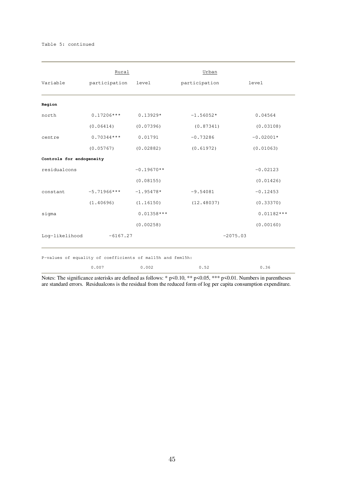|                          | Rural         |              | Urban         |              |
|--------------------------|---------------|--------------|---------------|--------------|
| Variable                 | participation | level        | participation | level        |
| Region                   |               |              |               |              |
| north                    | $0.17206***$  | $0.13929*$   | $-1.56052*$   | 0.04564      |
|                          | (0.06414)     | (0.07396)    | (0.87341)     | (0.03108)    |
| centre                   | $0.70344***$  | 0.01791      | $-0.73286$    | $-0.02001*$  |
|                          | (0.05767)     | (0.02882)    | (0.61972)     | (0.01063)    |
| Controls for endogeneity |               |              |               |              |
| residualcons             |               | $-0.19670**$ |               | $-0.02123$   |
|                          |               | (0.08155)    |               | (0.01426)    |
| constant                 | $-5.71966***$ | $-1.95478*$  | $-9.54081$    | $-0.12453$   |
|                          | (1.40696)     | (1.16150)    | (12.48037)    | (0.33370)    |
| sigma                    |               | $0.01358***$ |               | $0.01182***$ |
|                          |               | (0.00258)    |               | (0.00160)    |
| Log-likelihood           | $-6167.27$    |              |               | $-2075.03$   |

0.007 0.002 0.52 0.36

Notes: The significance asterisks are defined as follows: \* p<0.10, \*\* p<0.05, \*\*\* p<0.01. Numbers in parentheses are standard errors. Residualcons is the residual from the reduced form of log per capita consumption expenditure.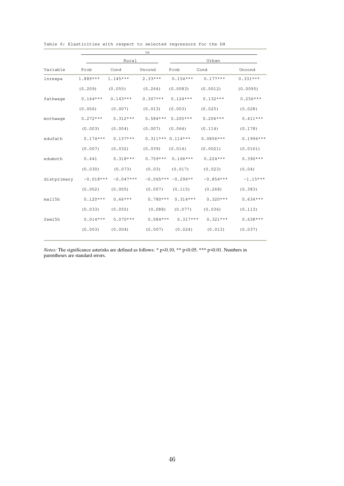|                                   |                     | DH                                          |            |                     |                               |             |  |  |  |
|-----------------------------------|---------------------|---------------------------------------------|------------|---------------------|-------------------------------|-------------|--|--|--|
|                                   |                     | Rural                                       |            | Urban               |                               |             |  |  |  |
| Variable                          | Prob                | Cond                                        | Uncond     | Prob                | Cond                          | Uncond      |  |  |  |
| lnrexpa                           | 1.889***            | $1.145***$                                  | $2.33***$  |                     | $0.154***$ $0.177***$         | $0.331***$  |  |  |  |
|                                   | (0, 209)            | (0.055)                                     | (0, 264)   | (0.0083)            | (0.0012)                      | (0.0095)    |  |  |  |
| fathwage                          | $0.164***$          | $0.143***$                                  | $0.307***$ | $0.124***$          | $0.132***$                    | $0.256***$  |  |  |  |
|                                   | (0.006)             | (0.007)                                     | (0.013)    | (0.003)             | (0.025)                       | (0.028)     |  |  |  |
| mothwage                          | $0.272***$          | $0.312***$                                  |            | $0.584***$ 0.205*** | $0.206***$                    | $0.411***$  |  |  |  |
|                                   | (0.003)             | (0.004)                                     |            | $(0.007)$ $(0.064)$ | (0.114)                       | (0.178)     |  |  |  |
| edufath                           |                     | $0.174***$ $0.137***$ $0.311***$ $0.114***$ |            |                     | $0.0856***$                   | $0.1996***$ |  |  |  |
|                                   | (0.007)             | (0.032)                                     | (0.039)    | (0.014)             | (0.0021)                      | (0.0161)    |  |  |  |
| edumoth                           | 0.441               | $0.318***$                                  |            | $0.759***$ 0.166*** | $0.224***$                    | $0.390***$  |  |  |  |
|                                   | (0.030)             | (0.073)                                     |            | $(0.03)$ $(0.017)$  | (0.023)                       | (0.04)      |  |  |  |
| distprimary $-0.018*** -0.047***$ |                     |                                             |            | $-0.065***-0.296**$ | $-0.854***$                   | $-1.15***$  |  |  |  |
|                                   |                     | $(0.002)$ $(0.005)$                         |            | $(0.007)$ $(0.115)$ | (0.268)                       | (0.383)     |  |  |  |
| mal15h                            |                     | $0.120***$ $0.66***$                        | $0.780***$ | $0.314***$          | $0.320***$                    | $0.634***$  |  |  |  |
|                                   |                     | $(0.033)$ $(0.055)$                         | (0.088)    | (0.077)             | (0.036)                       | (0.113)     |  |  |  |
| fem15h                            |                     | $0.014***$ $0.070***$ $0.084***$ $0.317***$ |            |                     | $0.321***$                    | $0.638***$  |  |  |  |
|                                   | $(0.003)$ $(0.004)$ |                                             |            |                     | $(0.007)$ $(0.024)$ $(0.013)$ | (0.037)     |  |  |  |
|                                   |                     |                                             |            |                     |                               |             |  |  |  |

Table 6: Elasticities with respect to selected regressors for the DH

*Notes:* The significance asterisks are defined as follows: \* p<0.10, \*\* p<0.05, \*\*\* p<0.01. Numbers in parentheses are standard errors.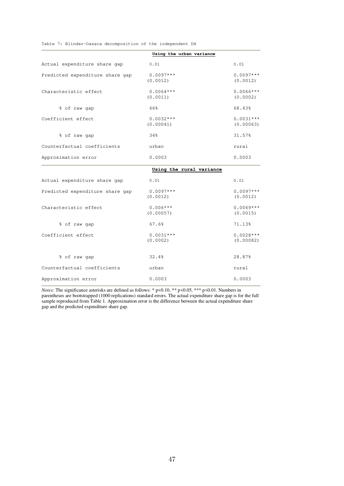Table 7: Blinder-Oaxaca decomposition of the independent DH

|                                 | Using the urban variance |                          |
|---------------------------------|--------------------------|--------------------------|
| Actual expenditure share gap    | 0.01                     | 0.01                     |
| Predicted expenditure share gap | $0.0097***$<br>(0.0012)  | $0.0097***$<br>(0.0012)  |
| Characteristic effect           | $0.0064***$<br>(0.0011)  | $0.0066***$<br>(0.0002)  |
| % of raw gap                    | 66%                      | 68.43%                   |
| Coefficient effect              | $0.0032***$<br>(0.00041) | $0.0031***$<br>(0.00063) |
| % of raw gap                    | 34%                      | 31.57%                   |
| Counterfactual coefficients     | urban                    | rural                    |
| Approximation error             | 0.0003                   | 0.0003                   |
|                                 | Using the rural variance |                          |
| Actual expenditure share gap    | 0.01                     | 0.01                     |
| Predicted expenditure share gap | $0.0097***$<br>(0.0012)  | $0.0097***$<br>(0.0012)  |
| Characteristic effect           | $0.006***$<br>(0.00057)  | $0.0069***$<br>(0.0015)  |
| % of raw gap                    | 67.6%                    | 71.13%                   |
| Coefficient effect              | $0.0031***$<br>(0.0002)  | $0.0028***$<br>(0.00082) |
| % of raw gap                    | 32.4%                    | 28.87%                   |
| Counterfactual coefficients     | urban                    | rural                    |
| Approximation error             | 0.0003                   | 0.0003                   |

*Notes:* The significance asterisks are defined as follows: \* p<0.10, \*\* p<0.05, \*\*\* p<0.01. Numbers in parentheses are bootstrapped (1000 replications) standard errors. The actual expenditure share gap is for the full sample reproduced from Table 1. Approximation error is the difference between the actual expenditure share gap and the predicted expenditure share gap.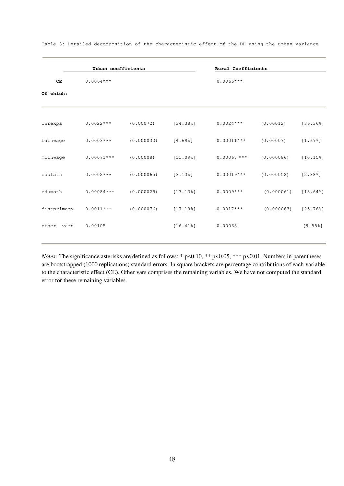|               | Urban coefficients |            |          | Rural Coefficients |            |                         |
|---------------|--------------------|------------|----------|--------------------|------------|-------------------------|
| CE            | $0.0064***$        |            |          | $0.0066***$        |            |                         |
| Of which:     |                    |            |          |                    |            |                         |
|               |                    |            |          |                    |            |                         |
| lnrexpa       | $0.0022***$        | (0.00072)  | [34.388] | $0.0024***$        | (0.00012)  | [36.36%]                |
| fathwage      | $0.0003***$        | (0.000033) | [4.698]  | $0.00011***$       | (0.00007)  | [1.678]                 |
| mothwage      | $0.00071***$       | (0.00008)  | [11.098] | $0.00067$ ***      | (0.000086) | $[10.15$ <sup>8</sup> ] |
| edufath       | $0.0002***$        | (0.000065) | [3.138]  | $0.00019***$       | (0.000052) | [2.888]                 |
| edumoth       | $0.00084***$       | (0.000029) | [13.138] | $0.0009***$        | (0.000061) | $[13.64$ <sup>8</sup> ] |
| distprimary   | $0.0011***$        | (0.000076) | [17.198] | $0.0017***$        | (0.000063) | $[25.76$ <sup>8</sup> ] |
| other<br>vars | 0.00105            |            | [16.418] | 0.00063            |            | $[9.55$ <sup>8</sup> ]  |
|               |                    |            |          |                    |            |                         |

Table 8: Detailed decomposition of the characteristic effect of the DH using the urban variance

*Notes:* The significance asterisks are defined as follows: \* p<0.10, \*\* p<0.05, \*\*\* p<0.01. Numbers in parentheses are bootstrapped (1000 replications) standard errors. In square brackets are percentage contributions of each variable to the characteristic effect (CE). Other vars comprises the remaining variables. We have not computed the standard error for these remaining variables.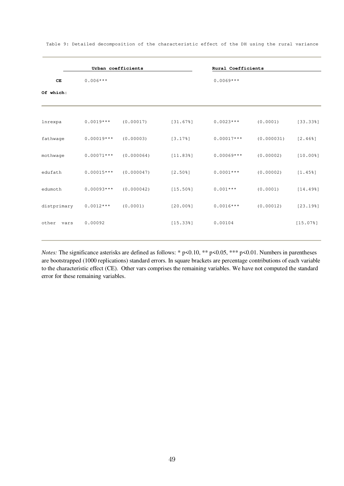|               | Urban coefficients |            |                         | Rural Coefficients |            |                         |
|---------------|--------------------|------------|-------------------------|--------------------|------------|-------------------------|
| CE            | $0.006***$         |            |                         | $0.0069***$        |            |                         |
| Of which:     |                    |            |                         |                    |            |                         |
|               |                    |            |                         |                    |            |                         |
| lnrexpa       | $0.0019***$        | (0.00017)  | [31.678]                | $0.0023***$        | (0.0001)   | [33.338]                |
| fathwage      | $0.00019***$       | (0.00003)  | [3.178]                 | $0.00017***$       | (0.000031) | [2.46%]                 |
| mothwaqe      | $0.00071***$       | (0.000064) | [11.838]                | $0.00069***$       | (0.00002)  | $[10.00$ <sup>8</sup> ] |
| edufath       | $0.00015***$       | (0.000047) | $[2.50$ <sup>8</sup> ]  | $0.0001***$        | (0.00002)  | $[1.45$ <sup>8</sup> ]  |
| edumoth       | $0.00093***$       | (0.000042) | $[15.50$ <sup>8</sup> ] | $0.001***$         | (0.0001)   | [14.498]                |
| distprimary   | $0.0012***$        | (0.0001)   | $[20.00$ <sup>8</sup> ] | $0.0016***$        | (0.00012)  | [23.198]                |
| other<br>vars | 0.00092            |            | [15.338]                | 0.00104            |            | [15.078]                |
|               |                    |            |                         |                    |            |                         |

Table 9: Detailed decomposition of the characteristic effect of the DH using the rural variance

*Notes:* The significance asterisks are defined as follows: \* p<0.10, \*\* p<0.05, \*\*\* p<0.01. Numbers in parentheses are bootstrapped (1000 replications) standard errors. In square brackets are percentage contributions of each variable to the characteristic effect (CE). Other vars comprises the remaining variables. We have not computed the standard error for these remaining variables.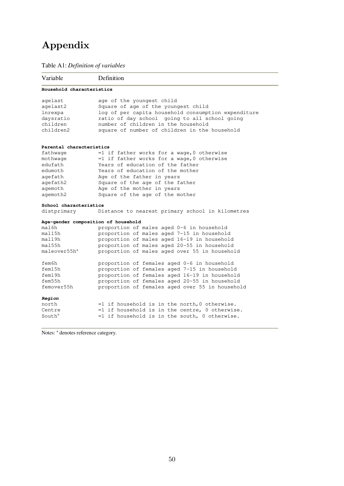# Appendix

## Table A1: *Definition of variables*

| Variable                  | Definition                                          |
|---------------------------|-----------------------------------------------------|
| Household characteristics |                                                     |
| agelast                   | age of the youngest child                           |
| agelast2                  | Square of age of the youngest child                 |
| lnrexpa                   | log of per capita household consumption expenditure |
| daysratio                 | ratio of day school going to all school going       |
| children                  | number of children in the household                 |
| children2                 | square of number of children in the household       |
| Parental characteristics  |                                                     |
| fathwage                  | $=1$ if father works for a wage, 0 otherwise        |
| mothwage                  | $=1$ if father works for a wage, 0 otherwise        |
| edufath                   | Years of education of the father                    |
| edumoth                   | Years of education of the mother                    |
| agefath                   | Age of the father in years                          |
| agefath2                  | Square of the age of the father                     |
| aqemoth                   | Age of the mother in years                          |
| agemoth2                  | Square of the age of the mother                     |
| School characteristics    |                                                     |
| distprimary               | Distance to nearest primary school in kilometres    |
|                           | Age-gender composition of household                 |
| mal6h                     | proportion of males aged 0-6 in household           |
| ma115h                    | proportion of males aged 7-15 in household          |
| ma119h                    | proportion of males aged 16-19 in household         |
| ma155h                    | proportion of males aged 20-55 in household         |
| maleover55h <sup>a</sup>  | proportion of males aged over 55 in household       |
| fem6h                     | proportion of females aged 0-6 in household         |
| fem15h                    | proportion of females aged 7-15 in household        |
| fem19h                    | proportion of females aged 16-19 in household       |
| fem55h                    | proportion of females aged 20-55 in household       |
| femover55h                | proportion of females aged over 55 in household     |
| Region                    |                                                     |
| north                     | $=1$ if household is in the north, 0 otherwise.     |
| Centre                    | $=1$ if household is in the centre, 0 otherwise.    |
|                           | =1 if household is in the south, 0 otherwise.       |

Notes: <sup>a</sup> denotes reference category.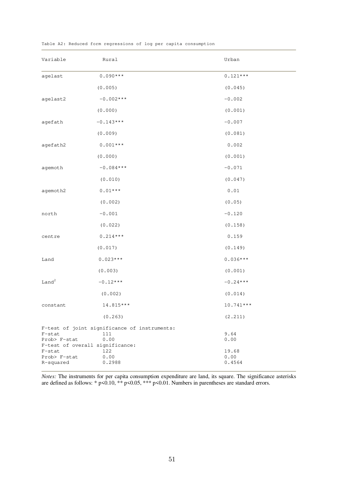| Variable                                                     | Rural                                                       | Urban                   |
|--------------------------------------------------------------|-------------------------------------------------------------|-------------------------|
| agelast                                                      | $0.090***$                                                  | $0.121***$              |
|                                                              | (0.005)                                                     | (0.045)                 |
| agelast2                                                     | $-0.002***$                                                 | $-0.002$                |
|                                                              | (0.000)                                                     | (0.001)                 |
| agefath                                                      | $-0.143***$                                                 | $-0.007$                |
|                                                              | (0.009)                                                     | (0.081)                 |
| agefath2                                                     | $0.001***$                                                  | 0.002                   |
|                                                              | (0.000)                                                     | (0.001)                 |
| agemoth                                                      | $-0.084***$                                                 | $-0.071$                |
|                                                              | (0.010)                                                     | (0.047)                 |
| agemoth2                                                     | $0.01***$                                                   | 0.01                    |
|                                                              | (0.002)                                                     | (0.05)                  |
| north                                                        | $-0.001$                                                    | $-0.120$                |
|                                                              | (0.022)                                                     | (0.158)                 |
| centre                                                       | $0.214***$                                                  | 0.159                   |
|                                                              | (0.017)                                                     | (0.149)                 |
| Land                                                         | $0.023***$                                                  | $0.036***$              |
|                                                              | (0.003)                                                     | (0.001)                 |
| Land <sup>2</sup>                                            | $-0.12***$                                                  | $-0.24***$              |
|                                                              | (0.002)                                                     | (0.014)                 |
| constant                                                     | 14.815 ***                                                  | 10.741***               |
|                                                              | (0.263)                                                     | (2.211)                 |
| $F$ -stat<br>Prob> F-stat<br>F-test of overall significance: | F-test of joint significance of instruments:<br>111<br>0.00 | 9.64<br>0.00            |
| $F$ -stat<br>Prob> F-stat<br>R-squared                       | 122<br>0.00<br>0.2988                                       | 19.68<br>0.00<br>0.4564 |

Table A2: Reduced form regressions of log per capita consumption

*Notes:* The instruments for per capita consumption expenditure are land, its square. The significance asterisks are defined as follows: \*  $p<0.10$ , \*\*  $p<0.05$ , \*\*\*  $p<0.01$ . Numbers in parentheses are standard errors.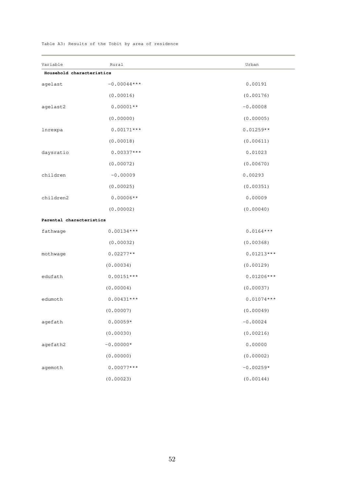### Table A3: Results of the Tobit by area of residence

| Variable                  | Rural         | Urban        |
|---------------------------|---------------|--------------|
| Household characteristics |               |              |
| agelast                   | $-0.00044***$ | 0.00191      |
|                           | (0.00016)     | (0.00176)    |
| agelast2                  | $0.00001**$   | $-0.00008$   |
|                           | (0.00000)     | (0.00005)    |
| lnrexpa                   | $0.00171***$  | $0.01259**$  |
|                           | (0.00018)     | (0.00611)    |
| daysratio                 | $0.00337***$  | 0.01023      |
|                           | (0.00072)     | (0.00670)    |
| children                  | $-0.00009$    | 0.00293      |
|                           | (0.00025)     | (0.00351)    |
| children2                 | $0.00006**$   | 0.00009      |
|                           | (0.00002)     | (0.00040)    |
| Parental characteristics  |               |              |
| fathwage                  | $0.00134***$  | $0.0164***$  |
|                           | (0.00032)     | (0.00368)    |
| mothwage                  | $0.02277**$   | $0.01213***$ |
|                           | (0.00034)     | (0.00129)    |
| edufath                   | $0.00151***$  | $0.01206***$ |
|                           | (0.00004)     | (0.00037)    |
| edumoth                   | $0.00431***$  | $0.01074***$ |
|                           | (0.00007)     | (0.00049)    |
| agefath                   | $0.00059*$    | $-0.00024$   |
|                           | (0.00030)     | (0.00216)    |
| agefath2                  | $-0.00000*$   | 0.00000      |
|                           | (0.00000)     | (0.00002)    |
| agemoth                   | $0.00077***$  | $-0.00259*$  |
|                           | (0.00023)     | (0.00144)    |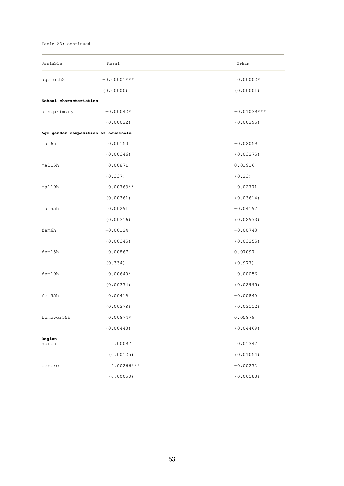#### Table A3: continued

| Variable                            | Rural         | Urban         |
|-------------------------------------|---------------|---------------|
| agemoth2                            | $-0.00001***$ | $0.00002*$    |
|                                     | (0.00000)     | (0.00001)     |
| School characteristics              |               |               |
| distprimary                         | $-0.00042*$   | $-0.01039***$ |
|                                     | (0.00022)     | (0.00295)     |
| Age-gender composition of household |               |               |
| mal6h                               | 0.00150       | $-0.02059$    |
|                                     | (0.00346)     | (0.03275)     |
| mal15h                              | 0.00871       | 0.01916       |
|                                     | (0.337)       | (0.23)        |
| mal19h                              | $0.00763**$   | $-0.02771$    |
|                                     | (0.00361)     | (0.03614)     |
| ma155h                              | 0.00291       | $-0.04197$    |
|                                     | (0.00316)     | (0.02973)     |
| fem6h                               | $-0.00124$    | $-0.00743$    |
|                                     | (0.00345)     | (0.03255)     |
| fem15h                              | 0.00867       | 0.07097       |
|                                     | (0.334)       | (0.977)       |
| fem19h                              | $0.00640*$    | $-0.00056$    |
|                                     | (0.00374)     | (0.02995)     |
| fem55h                              | 0.00419       | $-0.00840$    |
|                                     | (0.00378)     | (0.03112)     |
| femover55h                          | $0.00874*$    | 0.05879       |
|                                     | (0.00448)     | (0.04469)     |
| Region<br>north                     | 0.00097       | 0.01347       |
|                                     | (0.00125)     | (0.01054)     |
| centre                              | $0.00266***$  | $-0.00272$    |
|                                     | (0.00050)     | (0.00388)     |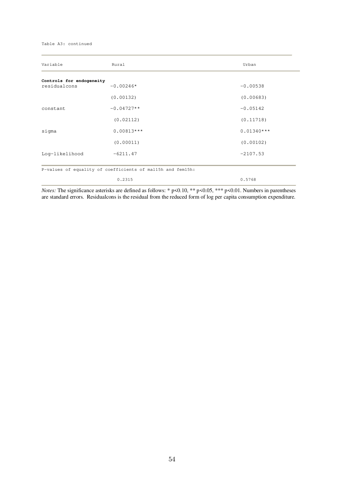#### Table A3: continued

| Variable                                 | Rural                                                      | Urban        |
|------------------------------------------|------------------------------------------------------------|--------------|
| Controls for endogeneity<br>residualcons | $-0.00246*$                                                | $-0.00538$   |
|                                          | (0.00132)                                                  | (0.00683)    |
| constant                                 | $-0.04727**$                                               | $-0.05142$   |
|                                          | (0.02112)                                                  | (0.11718)    |
| sigma                                    | $0.00813***$                                               | $0.01340***$ |
|                                          | (0.00011)                                                  | (0.00102)    |
| Log-likelihood                           | $-6211.47$                                                 | $-2107.53$   |
|                                          | P-values of equality of coefficients of mal15h and fem15h: |              |
|                                          | 0.2315                                                     | 0.5768       |

*Notes:* The significance asterisks are defined as follows: \* p<0.10, \*\* p<0.05, \*\*\* p<0.01. Numbers in parentheses are standard errors. Residualcons is the residual from the reduced form of log per capita consumption expenditure.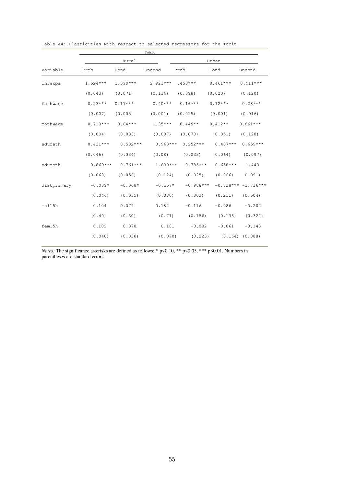|             |            |            | Tobit      |             |            |                      |  |  |
|-------------|------------|------------|------------|-------------|------------|----------------------|--|--|
|             |            | Rural      |            |             | Urban      |                      |  |  |
| Variable    | Prob       | Cond       | Uncond     | Prob        | Cond       | Uncond               |  |  |
| lnrexpa     | $1.524***$ | $1.399***$ | $2.923***$ | $.450***$   | $0.461***$ | $0.911***$           |  |  |
|             | (0.043)    | (0.071)    | (0.114)    | (0.098)     | (0.020)    | (0.120)              |  |  |
| fathwage    | $0.23***$  | $0.17***$  | $0.40***$  | $0.16***$   | $0.12***$  | $0.28***$            |  |  |
|             | (0.007)    | (0.005)    | (0.001)    | (0.015)     | (0.001)    | (0.016)              |  |  |
| mothwage    | $0.713***$ | $0.64***$  | $1.35***$  | $0.449**$   | $0.412**$  | $0.861***$           |  |  |
|             | (0.004)    | (0.003)    | (0.007)    | (0.070)     | (0.051)    | (0.120)              |  |  |
| edufath     | $0.431***$ | $0.532***$ | $0.963***$ | $0.252***$  | $0.407***$ | $0.659***$           |  |  |
|             | (0.046)    | (0.034)    | (0.08)     | (0.033)     | (0.064)    | (0.097)              |  |  |
| edumoth     | $0.869***$ | $0.761***$ | $1.630***$ | $0.785***$  | $0.658***$ | 1.443                |  |  |
|             | (0.068)    | (0.056)    | (0.124)    | (0.025)     | (0.066)    | 0.091)               |  |  |
| distprimary | $-0.089*$  | $-0.068*$  | $-0.157*$  | $-0.988***$ |            | $-0.728***-1.716***$ |  |  |
|             | (0.046)    | (0.035)    | (0.080)    | (0.303)     | (0.211)    | (0.504)              |  |  |
| mal15h      | 0.104      | 0.079      | 0.182      | $-0.116$    | $-0.086$   | $-0.202$             |  |  |
|             | (0.40)     | (0.30)     | (0.71)     | (0.186)     | (0.136)    | (0.322)              |  |  |
| fem15h      | 0.102      | 0.078      | 0.181      | $-0.082$    | $-0.061$   | $-0.143$             |  |  |
|             | (0.040)    | (0.030)    | (0.070)    | (0.223)     |            | $(0.164)$ $(0.388)$  |  |  |

|  | Table A4: Elasticities with respect to selected regressors for the Tobit |  |  |  |  |  |  |  |  |
|--|--------------------------------------------------------------------------|--|--|--|--|--|--|--|--|
|--|--------------------------------------------------------------------------|--|--|--|--|--|--|--|--|

*Notes:* The significance asterisks are defined as follows: \* p<0.10, \*\* p<0.05, \*\*\* p<0.01. Numbers in parentheses are standard errors.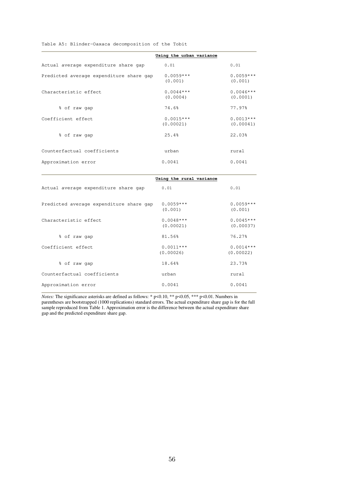Table A5: Blinder-Oaxaca decomposition of the Tobit

|                                         | Using the urban variance |                          |
|-----------------------------------------|--------------------------|--------------------------|
| Actual average expenditure share gap    | 0.01                     | 0.01                     |
| Predicted average expenditure share gap | $0.0059***$<br>(0.001)   | $0.0059***$<br>(0.001)   |
| Characteristic effect                   | $0.0044***$<br>(0.0004)  | $0.0046***$<br>(0.0001)  |
| % of raw gap                            | 74.6%                    | 77.97%                   |
| Coefficient effect                      | $0.0015***$<br>(0.00021) | $0.0013***$<br>(0.00041) |
| % of raw gap                            | 25.4%                    | 22.03%                   |
| Counterfactual coefficients             | urban                    | rural                    |
| Approximation error                     | 0.0041                   | 0.0041                   |

|                                         | Using the rural variance |                          |
|-----------------------------------------|--------------------------|--------------------------|
| Actual average expenditure share gap    | 0.01                     | 0.01                     |
| Predicted average expenditure share gap | $0.0059***$<br>(0.001)   | $0.0059***$<br>(0.001)   |
| Characteristic effect                   | $0.0048***$<br>(0.00021) | $0.0045***$<br>(0.00037) |
| % of raw gap                            | 81.56%                   | 76.27%                   |
| Coefficient effect                      | $0.0011***$<br>(0.00026) | $0.0014***$<br>(0.00022) |
| % of raw gap                            | 18.64%                   | 23.73%                   |
| Counterfactual coefficients             | urban                    | rural                    |
| Approximation error                     | 0.0041                   | 0.0041                   |

*Notes:* The significance asterisks are defined as follows: \*  $p<0.10$ , \*\*  $p<0.05$ , \*\*\*  $p<0.01$ . Numbers in parentheses are bootstrapped (1000 replications) standard errors. The actual expenditure share gap is for the full sample reproduced from Table 1. Approximation error is the difference between the actual expenditure share gap and the predicted expenditure share gap.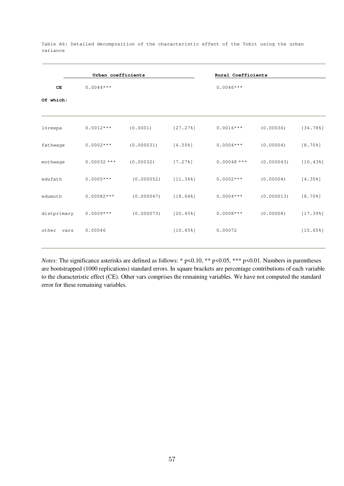|             | Urban coefficients |                       |                         | Rural Coefficients |            |                         |
|-------------|--------------------|-----------------------|-------------------------|--------------------|------------|-------------------------|
| CE          | $0.0044***$        |                       |                         | $0.0046***$        |            |                         |
| Of which:   |                    |                       |                         |                    |            |                         |
| lnrexpa     | $0.0012***$        | (0.0001)              | $[27.27$ <sup>8</sup> ] | $0.0016***$        | (0.00036)  | [34.788]                |
| fathwage    | $0.0002***$        | (0.000031)            | $[4.55$ <sup>8</sup> ]  | $0.0004***$        | (0.00004)  | $[8.70$ <sup>8</sup> ]  |
| mothwage    | $0.00032***$       | (0.00032)             | [7.278]                 | $0.00048$ ***      | (0.000043) | [10.43%]                |
| edufath     | $0.0005***$        | $(0.000052)$ [11.36%] |                         | $0.0002***$        | (0.00004)  | [4.358]                 |
| edumoth     | $0.00082***$       | (0.000047)            | $[18.64$ <sup>8</sup> ] | $0.0004***$        | (0.000013) | $[8.70$ <sup>8</sup> ]  |
| distprimary | $0.0009***$        | (0.000073)            | $[20.45$ <sup>8</sup> ] | $0.0008***$        | (0.00008)  | [17.398]                |
| other vars  | 0.00046            |                       | $[10.45$ <sup>8</sup> ] | 0.00072            |            | $[15.65$ <sup>8</sup> ] |
|             |                    |                       |                         |                    |            |                         |

Table A6: Detailed decomposition of the characteristic effect of the Tobit using the urban variance

*Notes:* The significance asterisks are defined as follows: \* p<0.10, \*\* p<0.05, \*\*\* p<0.01. Numbers in parentheses are bootstrapped (1000 replications) standard errors. In square brackets are percentage contributions of each variable to the characteristic effect (CE). Other vars comprises the remaining variables. We have not computed the standard error for these remaining variables.